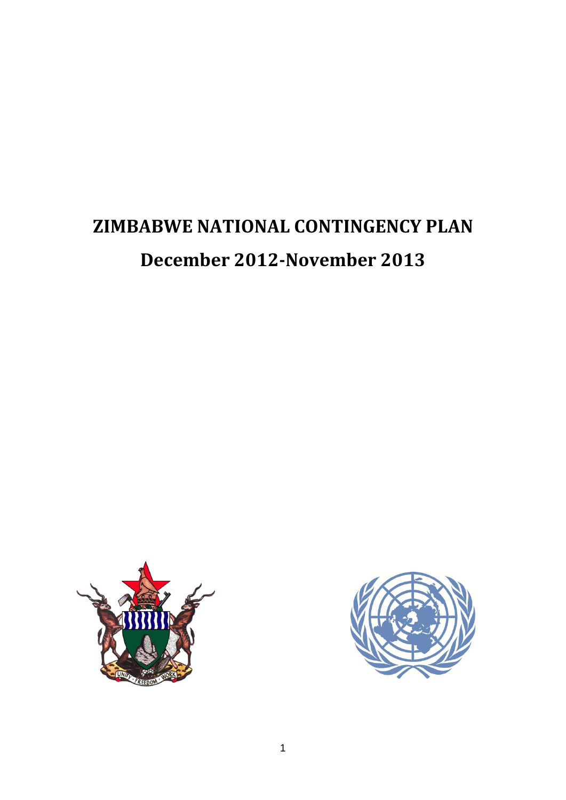# **ZIMBABWE NATIONAL CONTINGENCY PLAN December 2012-November 2013**



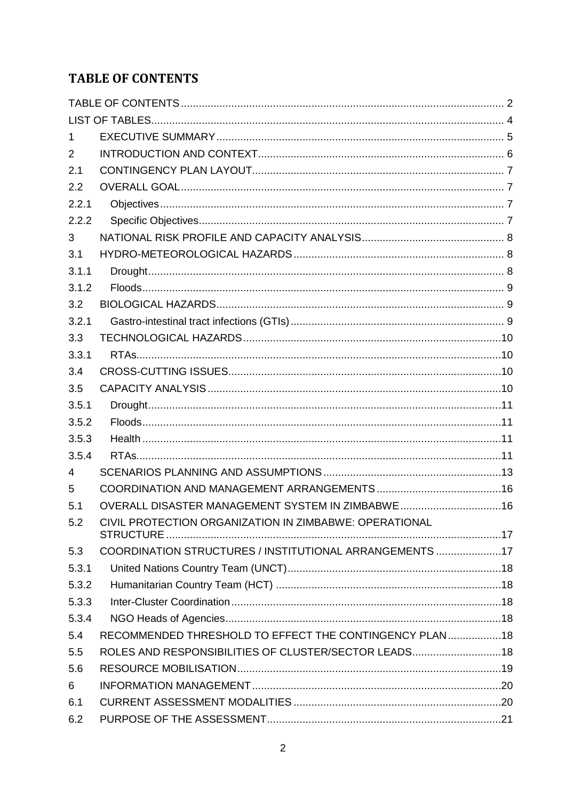# <span id="page-1-0"></span>**TABLE OF CONTENTS**

| 1     |                                                         |  |
|-------|---------------------------------------------------------|--|
| 2     |                                                         |  |
| 2.1   |                                                         |  |
| 2.2   |                                                         |  |
| 2.2.1 |                                                         |  |
| 2.2.2 |                                                         |  |
| 3     |                                                         |  |
| 3.1   |                                                         |  |
| 3.1.1 |                                                         |  |
| 3.1.2 |                                                         |  |
| 3.2   |                                                         |  |
| 3.2.1 |                                                         |  |
| 3.3   |                                                         |  |
| 3.3.1 |                                                         |  |
| 3.4   |                                                         |  |
| 3.5   |                                                         |  |
| 3.5.1 |                                                         |  |
| 3.5.2 |                                                         |  |
| 3.5.3 |                                                         |  |
| 3.5.4 |                                                         |  |
| 4     |                                                         |  |
| 5     |                                                         |  |
| 5.1   | OVERALL DISASTER MANAGEMENT SYSTEM IN ZIMBABWE16        |  |
| 5.2   | CIVIL PROTECTION ORGANIZATION IN ZIMBABWE: OPERATIONAL  |  |
| 5.3   | COORDINATION STRUCTURES / INSTITUTIONAL ARRANGEMENTS 17 |  |
| 5.3.1 |                                                         |  |
| 5.3.2 |                                                         |  |
| 5.3.3 |                                                         |  |
| 5.3.4 |                                                         |  |
| 5.4   | RECOMMENDED THRESHOLD TO EFFECT THE CONTINGENCY PLAN18  |  |
| 5.5   | ROLES AND RESPONSIBILITIES OF CLUSTER/SECTOR LEADS18    |  |
| 5.6   |                                                         |  |
| 6     |                                                         |  |
| 6.1   |                                                         |  |
| 6.2   |                                                         |  |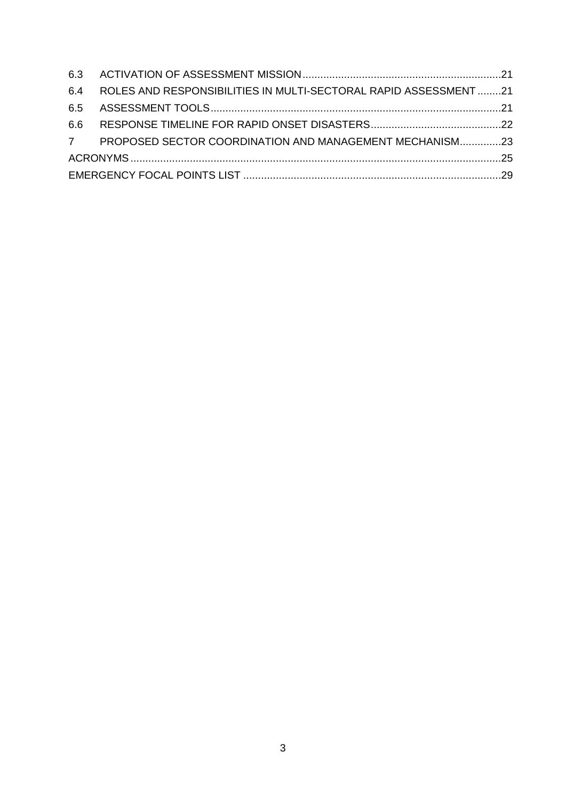| 6.4 ROLES AND RESPONSIBILITIES IN MULTI-SECTORAL RAPID ASSESSMENT 21 |  |
|----------------------------------------------------------------------|--|
|                                                                      |  |
|                                                                      |  |
| 7 PROPOSED SECTOR COORDINATION AND MANAGEMENT MECHANISM23            |  |
|                                                                      |  |
|                                                                      |  |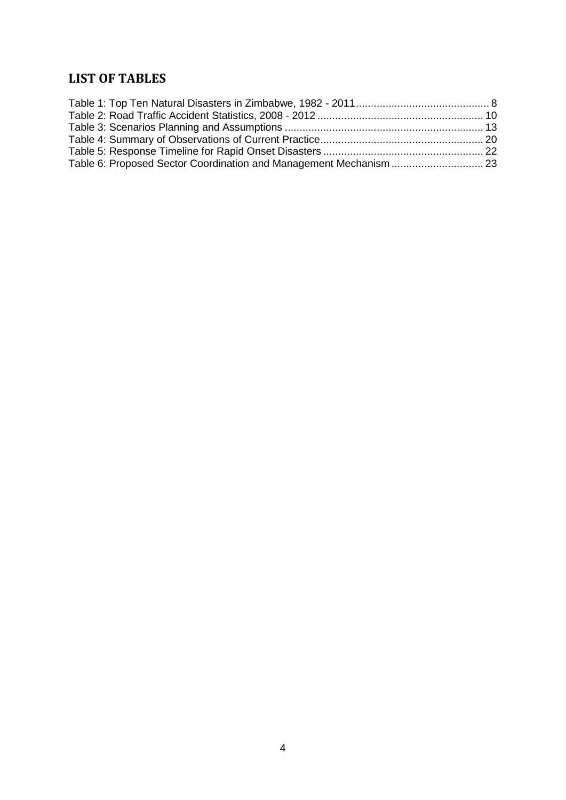# <span id="page-3-0"></span>**LIST OF TABLES**

| Table 6: Proposed Sector Coordination and Management Mechanism  23 |  |
|--------------------------------------------------------------------|--|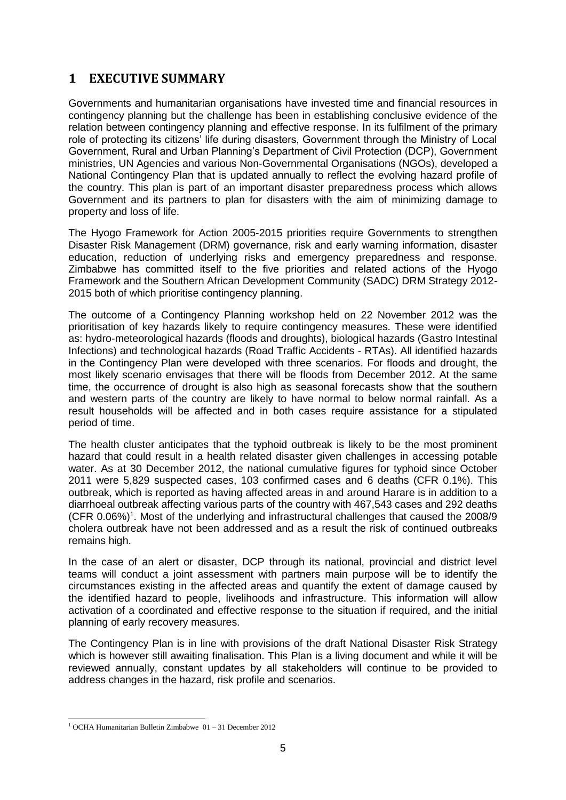# <span id="page-4-0"></span>**1 EXECUTIVE SUMMARY**

Governments and humanitarian organisations have invested time and financial resources in contingency planning but the challenge has been in establishing conclusive evidence of the relation between contingency planning and effective response. In its fulfilment of the primary role of protecting its citizens' life during disasters, Government through the Ministry of Local Government, Rural and Urban Planning's Department of Civil Protection (DCP), Government ministries, UN Agencies and various Non-Governmental Organisations (NGOs), developed a National Contingency Plan that is updated annually to reflect the evolving hazard profile of the country. This plan is part of an important disaster preparedness process which allows Government and its partners to plan for disasters with the aim of minimizing damage to property and loss of life.

The Hyogo Framework for Action 2005-2015 priorities require Governments to strengthen Disaster Risk Management (DRM) governance, risk and early warning information, disaster education, reduction of underlying risks and emergency preparedness and response. Zimbabwe has committed itself to the five priorities and related actions of the Hyogo Framework and the Southern African Development Community (SADC) DRM Strategy 2012- 2015 both of which prioritise contingency planning.

The outcome of a Contingency Planning workshop held on 22 November 2012 was the prioritisation of key hazards likely to require contingency measures. These were identified as: hydro-meteorological hazards (floods and droughts), biological hazards (Gastro Intestinal Infections) and technological hazards (Road Traffic Accidents - RTAs). All identified hazards in the Contingency Plan were developed with three scenarios. For floods and drought, the most likely scenario envisages that there will be floods from December 2012. At the same time, the occurrence of drought is also high as seasonal forecasts show that the southern and western parts of the country are likely to have normal to below normal rainfall. As a result households will be affected and in both cases require assistance for a stipulated period of time.

The health cluster anticipates that the typhoid outbreak is likely to be the most prominent hazard that could result in a health related disaster given challenges in accessing potable water. As at 30 December 2012, the national cumulative figures for typhoid since October 2011 were 5,829 suspected cases, 103 confirmed cases and 6 deaths (CFR 0.1%). This outbreak, which is reported as having affected areas in and around Harare is in addition to a diarrhoeal outbreak affecting various parts of the country with 467,543 cases and 292 deaths (CFR 0.06%)<sup>1</sup>. Most of the underlying and infrastructural challenges that caused the 2008/9 cholera outbreak have not been addressed and as a result the risk of continued outbreaks remains high.

In the case of an alert or disaster, DCP through its national, provincial and district level teams will conduct a joint assessment with partners main purpose will be to identify the circumstances existing in the affected areas and quantify the extent of damage caused by the identified hazard to people, livelihoods and infrastructure. This information will allow activation of a coordinated and effective response to the situation if required, and the initial planning of early recovery measures.

The Contingency Plan is in line with provisions of the draft National Disaster Risk Strategy which is however still awaiting finalisation. This Plan is a living document and while it will be reviewed annually, constant updates by all stakeholders will continue to be provided to address changes in the hazard, risk profile and scenarios.

<sup>-</sup><sup>1</sup> OCHA Humanitarian Bulletin Zimbabwe  $01 - 31$  December 2012.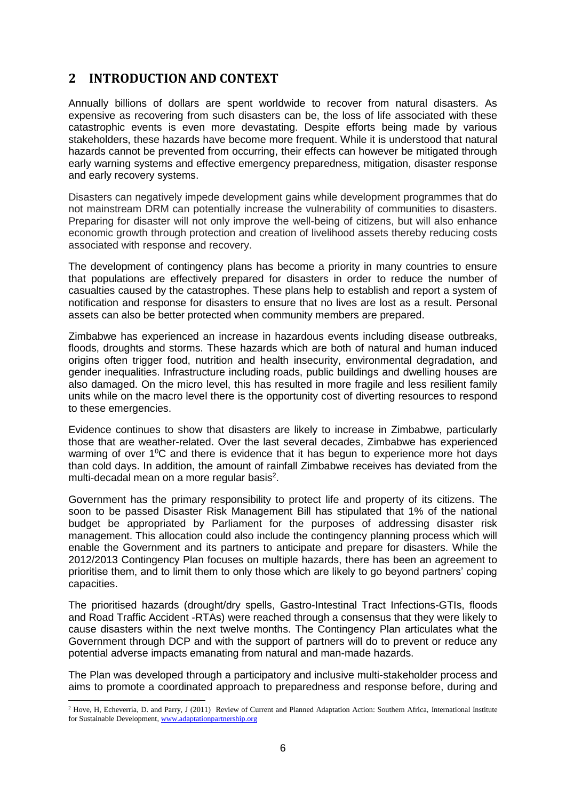# <span id="page-5-0"></span>**2 INTRODUCTION AND CONTEXT**

Annually billions of dollars are spent worldwide to recover from natural disasters. As expensive as recovering from such disasters can be, the loss of life associated with these catastrophic events is even more devastating. Despite efforts being made by various stakeholders, these hazards have become more frequent. While it is understood that natural hazards cannot be prevented from occurring, their effects can however be mitigated through early warning systems and effective emergency preparedness, mitigation, disaster response and early recovery systems.

Disasters can negatively impede development gains while development programmes that do not mainstream DRM can potentially increase the vulnerability of communities to disasters. Preparing for disaster will not only improve the well-being of citizens, but will also enhance economic growth through protection and creation of livelihood assets thereby reducing costs associated with response and recovery.

The development of contingency plans has become a priority in many countries to ensure that populations are effectively prepared for disasters in order to reduce the number of casualties caused by the catastrophes. These plans help to establish and report a system of notification and response for disasters to ensure that no lives are lost as a result. Personal assets can also be better protected when community members are prepared.

Zimbabwe has experienced an increase in hazardous events including disease outbreaks, floods, droughts and storms. These hazards which are both of natural and human induced origins often trigger food, nutrition and health insecurity, environmental degradation, and gender inequalities. Infrastructure including roads, public buildings and dwelling houses are also damaged. On the micro level, this has resulted in more fragile and less resilient family units while on the macro level there is the opportunity cost of diverting resources to respond to these emergencies.

Evidence continues to show that disasters are likely to increase in Zimbabwe, particularly those that are weather-related. Over the last several decades, Zimbabwe has experienced warming of over 1<sup>o</sup>C and there is evidence that it has begun to experience more hot days than cold days. In addition, the amount of rainfall Zimbabwe receives has deviated from the multi-decadal mean on a more regular basis<sup>2</sup>.

Government has the primary responsibility to protect life and property of its citizens. The soon to be passed Disaster Risk Management Bill has stipulated that 1% of the national budget be appropriated by Parliament for the purposes of addressing disaster risk management. This allocation could also include the contingency planning process which will enable the Government and its partners to anticipate and prepare for disasters. While the 2012/2013 Contingency Plan focuses on multiple hazards, there has been an agreement to prioritise them, and to limit them to only those which are likely to go beyond partners' coping capacities.

The prioritised hazards (drought/dry spells, Gastro-Intestinal Tract Infections-GTIs, floods and Road Traffic Accident -RTAs) were reached through a consensus that they were likely to cause disasters within the next twelve months. The Contingency Plan articulates what the Government through DCP and with the support of partners will do to prevent or reduce any potential adverse impacts emanating from natural and man-made hazards.

The Plan was developed through a participatory and inclusive multi-stakeholder process and aims to promote a coordinated approach to preparedness and response before, during and

<sup>&</sup>lt;sup>2</sup> Hove, H, Echeverría, D. and Parry, J (2011) Review of Current and Planned Adaptation Action: Southern Africa, International Institute for Sustainable Development[, www.adaptationpartnership.org](http://www.adaptationpartnership.org/)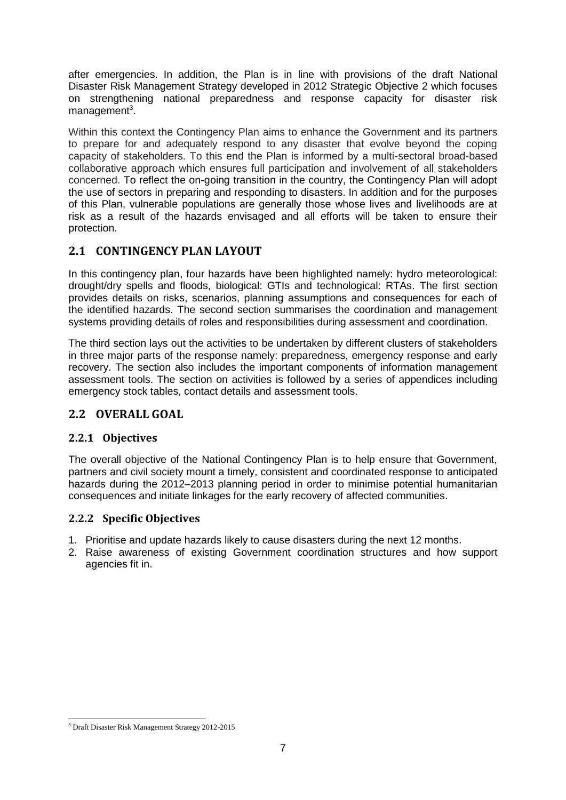after emergencies. In addition, the Plan is in line with provisions of the draft National Disaster Risk Management Strategy developed in 2012 Strategic Objective 2 which focuses on strengthening national preparedness and response capacity for disaster risk management<sup>3</sup>.

Within this context the Contingency Plan aims to enhance the Government and its partners to prepare for and adequately respond to any disaster that evolve beyond the coping capacity of stakeholders. To this end the Plan is informed by a multi-sectoral broad-based collaborative approach which ensures full participation and involvement of all stakeholders concerned. To reflect the on-going transition in the country, the Contingency Plan will adopt the use of sectors in preparing and responding to disasters. In addition and for the purposes of this Plan, vulnerable populations are generally those whose lives and livelihoods are at risk as a result of the hazards envisaged and all efforts will be taken to ensure their protection.

## <span id="page-6-0"></span>**2.1 CONTINGENCY PLAN LAYOUT**

In this contingency plan, four hazards have been highlighted namely: hydro meteorological: drought/dry spells and floods, biological: GTIs and technological: RTAs. The first section provides details on risks, scenarios, planning assumptions and consequences for each of the identified hazards. The second section summarises the coordination and management systems providing details of roles and responsibilities during assessment and coordination.

The third section lays out the activities to be undertaken by different clusters of stakeholders in three major parts of the response namely: preparedness, emergency response and early recovery. The section also includes the important components of information management assessment tools. The section on activities is followed by a series of appendices including emergency stock tables, contact details and assessment tools.

## <span id="page-6-1"></span>**2.2 OVERALL GOAL**

#### <span id="page-6-2"></span>**2.2.1 Objectives**

The overall objective of the National Contingency Plan is to help ensure that Government, partners and civil society mount a timely, consistent and coordinated response to anticipated hazards during the 2012–2013 planning period in order to minimise potential humanitarian consequences and initiate linkages for the early recovery of affected communities.

#### <span id="page-6-3"></span>**2.2.2 Specific Objectives**

- 1. Prioritise and update hazards likely to cause disasters during the next 12 months.
- 2. Raise awareness of existing Government coordination structures and how support agencies fit in.

<sup>-</sup><sup>3</sup> Draft Disaster Risk Management Strategy 2012-2015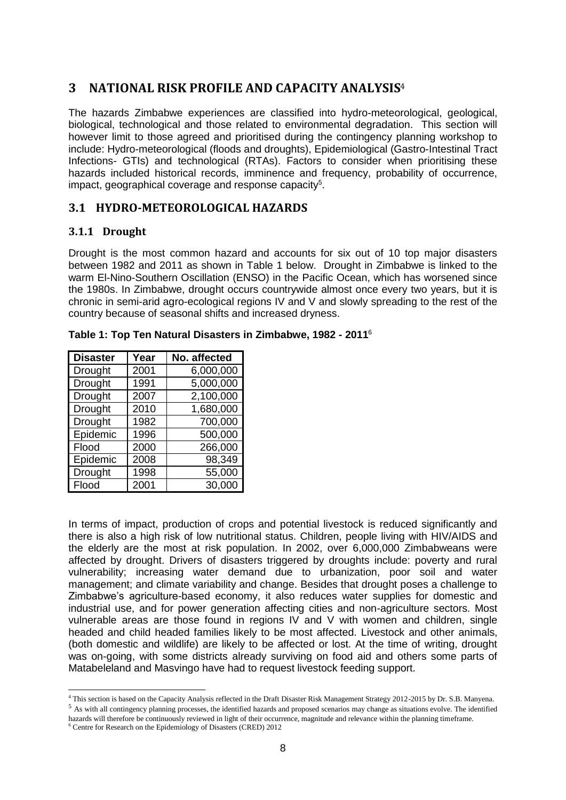## <span id="page-7-0"></span>**3 NATIONAL RISK PROFILE AND CAPACITY ANALYSIS**<sup>4</sup>

The hazards Zimbabwe experiences are classified into hydro-meteorological, geological, biological, technological and those related to environmental degradation. This section will however limit to those agreed and prioritised during the contingency planning workshop to include: Hydro-meteorological (floods and droughts), Epidemiological (Gastro-Intestinal Tract Infections- GTIs) and technological (RTAs). Factors to consider when prioritising these hazards included historical records, imminence and frequency, probability of occurrence, impact, geographical coverage and response capacity<sup>5</sup>.

## <span id="page-7-1"></span>**3.1 HYDRO-METEOROLOGICAL HAZARDS**

#### <span id="page-7-2"></span>**3.1.1 Drought**

Drought is the most common hazard and accounts for six out of 10 top major disasters between 1982 and 2011 as shown in Table 1 below. Drought in Zimbabwe is linked to the warm El-Nino-Southern Oscillation (ENSO) in the Pacific Ocean, which has worsened since the 1980s. In Zimbabwe, drought occurs countrywide almost once every two years, but it is chronic in semi-arid agro-ecological regions IV and V and slowly spreading to the rest of the country because of seasonal shifts and increased dryness.

| <b>Disaster</b> | Year | No. affected |
|-----------------|------|--------------|
| Drought         | 2001 | 6,000,000    |
| Drought         | 1991 | 5,000,000    |
| <b>Drought</b>  | 2007 | 2,100,000    |
| Drought         | 2010 | 1,680,000    |
| Drought         | 1982 | 700,000      |
| Epidemic        | 1996 | 500,000      |
| Flood           | 2000 | 266,000      |
| Epidemic        | 2008 | 98,349       |
| Drought         | 1998 | 55,000       |
| Flood           | 2001 | 30,000       |

<span id="page-7-3"></span>

|  | Table 1: Top Ten Natural Disasters in Zimbabwe, 1982 - 2011 $^{\circ}$ |  |  |
|--|------------------------------------------------------------------------|--|--|
|  |                                                                        |  |  |

In terms of impact, production of crops and potential livestock is reduced significantly and there is also a high risk of low nutritional status. Children, people living with HIV/AIDS and the elderly are the most at risk population. In 2002, over 6,000,000 Zimbabweans were affected by drought. Drivers of disasters triggered by droughts include: poverty and rural vulnerability; increasing water demand due to urbanization, poor soil and water management; and climate variability and change. Besides that drought poses a challenge to Zimbabwe's agriculture-based economy, it also reduces water supplies for domestic and industrial use, and for power generation affecting cities and non-agriculture sectors. Most vulnerable areas are those found in regions IV and V with women and children, single headed and child headed families likely to be most affected. Livestock and other animals, (both domestic and wildlife) are likely to be affected or lost. At the time of writing, drought was on-going, with some districts already surviving on food aid and others some parts of Matabeleland and Masvingo have had to request livestock feeding support.

<sup>4</sup> This section is based on the Capacity Analysis reflected in the Draft Disaster Risk Management Strategy 2012-2015 by Dr. S.B. Manyena.

<sup>&</sup>lt;sup>5</sup> As with all contingency planning processes, the identified hazards and proposed scenarios may change as situations evolve. The identified hazards will therefore be continuously reviewed in light of their occurrence, magnitude and relevance within the planning timeframe.

<sup>6</sup> Centre for Research on the Epidemiology of Disasters (CRED) 2012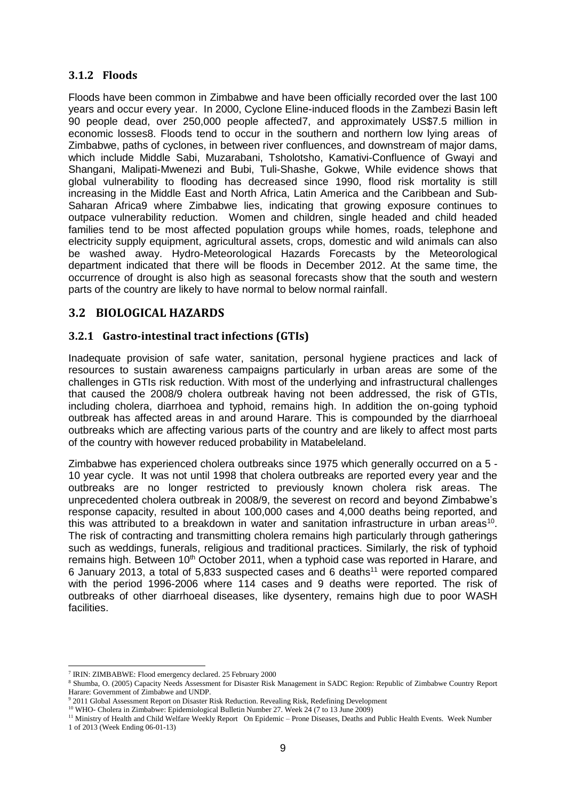#### <span id="page-8-0"></span>**3.1.2 Floods**

Floods have been common in Zimbabwe and have been officially recorded over the last 100 years and occur every year. In 2000, Cyclone Eline-induced floods in the Zambezi Basin left 90 people dead, over 250,000 people affected7, and approximately US\$7.5 million in economic losses8. Floods tend to occur in the southern and northern low lying areas of Zimbabwe, paths of cyclones, in between river confluences, and downstream of major dams, which include Middle Sabi, Muzarabani, Tsholotsho, Kamativi-Confluence of Gwayi and Shangani, Malipati-Mwenezi and Bubi, Tuli-Shashe, Gokwe, While evidence shows that global vulnerability to flooding has decreased since 1990, flood risk mortality is still increasing in the Middle East and North Africa, Latin America and the Caribbean and Sub-Saharan Africa9 where Zimbabwe lies, indicating that growing exposure continues to outpace vulnerability reduction. Women and children, single headed and child headed families tend to be most affected population groups while homes, roads, telephone and electricity supply equipment, agricultural assets, crops, domestic and wild animals can also be washed away. Hydro-Meteorological Hazards Forecasts by the Meteorological department indicated that there will be floods in December 2012. At the same time, the occurrence of drought is also high as seasonal forecasts show that the south and western parts of the country are likely to have normal to below normal rainfall.

## <span id="page-8-1"></span>**3.2 BIOLOGICAL HAZARDS**

#### <span id="page-8-2"></span>**3.2.1 Gastro-intestinal tract infections (GTIs)**

Inadequate provision of safe water, sanitation, personal hygiene practices and lack of resources to sustain awareness campaigns particularly in urban areas are some of the challenges in GTIs risk reduction. With most of the underlying and infrastructural challenges that caused the 2008/9 cholera outbreak having not been addressed, the risk of GTIs, including cholera, diarrhoea and typhoid, remains high. In addition the on-going typhoid outbreak has affected areas in and around Harare. This is compounded by the diarrhoeal outbreaks which are affecting various parts of the country and are likely to affect most parts of the country with however reduced probability in Matabeleland.

Zimbabwe has experienced cholera outbreaks since 1975 which generally occurred on a 5 - 10 year cycle. It was not until 1998 that cholera outbreaks are reported every year and the outbreaks are no longer restricted to previously known cholera risk areas. The unprecedented cholera outbreak in 2008/9, the severest on record and beyond Zimbabwe's response capacity, resulted in about 100,000 cases and 4,000 deaths being reported, and this was attributed to a breakdown in water and sanitation infrastructure in urban areas<sup>10</sup>. The risk of contracting and transmitting cholera remains high particularly through gatherings such as weddings, funerals, religious and traditional practices. Similarly, the risk of typhoid remains high. Between 10<sup>th</sup> October 2011, when a typhoid case was reported in Harare, and 6 January 2013, a total of 5,833 suspected cases and 6 deaths<sup>11</sup> were reported compared with the period 1996-2006 where 114 cases and 9 deaths were reported. The risk of outbreaks of other diarrhoeal diseases, like dysentery, remains high due to poor WASH facilities.

<sup>7</sup> IRIN: ZIMBABWE: Flood emergency declared. 25 February 2000

<sup>8</sup> Shumba, O. (2005) Capacity Needs Assessment for Disaster Risk Management in SADC Region: Republic of Zimbabwe Country Report Harare: Government of Zimbabwe and UNDP.

<sup>&</sup>lt;sup>9</sup> 2011 Global Assessment Report on Disaster Risk Reduction. Revealing Risk, Redefining Development

<sup>&</sup>lt;sup>10</sup> WHO- Cholera in Zimbabwe: Epidemiological Bulletin Number 27. Week 24 (7 to 13 June 2009)

<sup>&</sup>lt;sup>11</sup> Ministry of Health and Child Welfare Weekly Report On Epidemic – Prone Diseases, Deaths and Public Health Events. Week Number 1 of 2013 (Week Ending 06-01-13)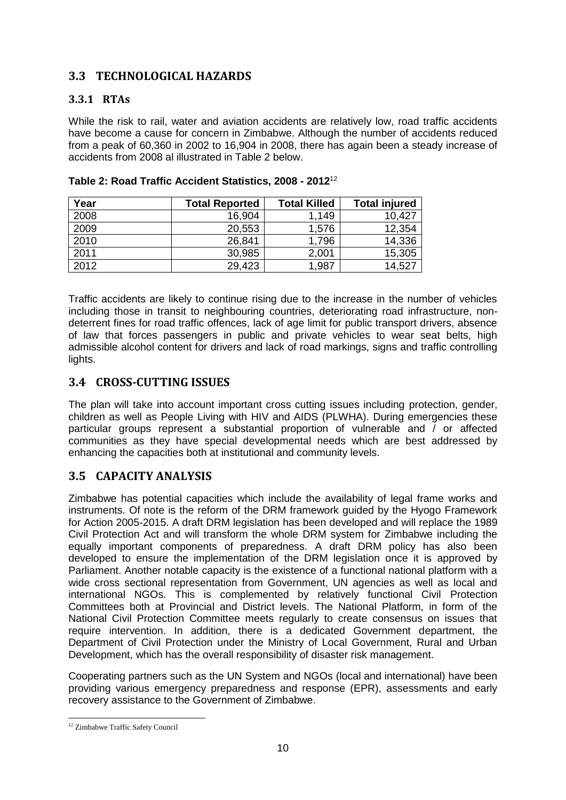## <span id="page-9-0"></span>**3.3 TECHNOLOGICAL HAZARDS**

## <span id="page-9-1"></span>**3.3.1 RTAs**

While the risk to rail, water and aviation accidents are relatively low, road traffic accidents have become a cause for concern in Zimbabwe. Although the number of accidents reduced from a peak of 60,360 in 2002 to 16,904 in 2008, there has again been a steady increase of accidents from 2008 al illustrated in Table 2 below.

| Year | <b>Total Reported</b> | <b>Total Killed</b> | <b>Total injured</b> |
|------|-----------------------|---------------------|----------------------|
| 2008 | 16,904                | 1,149               | 10,427               |
| 2009 | 20,553                | 1,576               | 12,354               |
| 2010 | 26,841                | 1,796               | 14,336               |
| 2011 | 30,985                | 2,001               | 15,305               |
| 2012 | 29,423                | 1,987               | 14,527               |

<span id="page-9-4"></span>

Traffic accidents are likely to continue rising due to the increase in the number of vehicles including those in transit to neighbouring countries, deteriorating road infrastructure, nondeterrent fines for road traffic offences, lack of age limit for public transport drivers, absence of law that forces passengers in public and private vehicles to wear seat belts, high admissible alcohol content for drivers and lack of road markings, signs and traffic controlling lights.

## <span id="page-9-2"></span>**3.4 CROSS-CUTTING ISSUES**

The plan will take into account important cross cutting issues including protection, gender, children as well as People Living with HIV and AIDS (PLWHA). During emergencies these particular groups represent a substantial proportion of vulnerable and / or affected communities as they have special developmental needs which are best addressed by enhancing the capacities both at institutional and community levels.

## <span id="page-9-3"></span>**3.5 CAPACITY ANALYSIS**

Zimbabwe has potential capacities which include the availability of legal frame works and instruments. Of note is the reform of the DRM framework guided by the Hyogo Framework for Action 2005-2015. A draft DRM legislation has been developed and will replace the 1989 Civil Protection Act and will transform the whole DRM system for Zimbabwe including the equally important components of preparedness. A draft DRM policy has also been developed to ensure the implementation of the DRM legislation once it is approved by Parliament. Another notable capacity is the existence of a functional national platform with a wide cross sectional representation from Government, UN agencies as well as local and international NGOs. This is complemented by relatively functional Civil Protection Committees both at Provincial and District levels. The National Platform, in form of the National Civil Protection Committee meets regularly to create consensus on issues that require intervention. In addition, there is a dedicated Government department, the Department of Civil Protection under the Ministry of Local Government, Rural and Urban Development, which has the overall responsibility of disaster risk management.

Cooperating partners such as the UN System and NGOs (local and international) have been providing various emergency preparedness and response (EPR), assessments and early recovery assistance to the Government of Zimbabwe.

<sup>-</sup><sup>12</sup> Zimbabwe Traffic Safety Council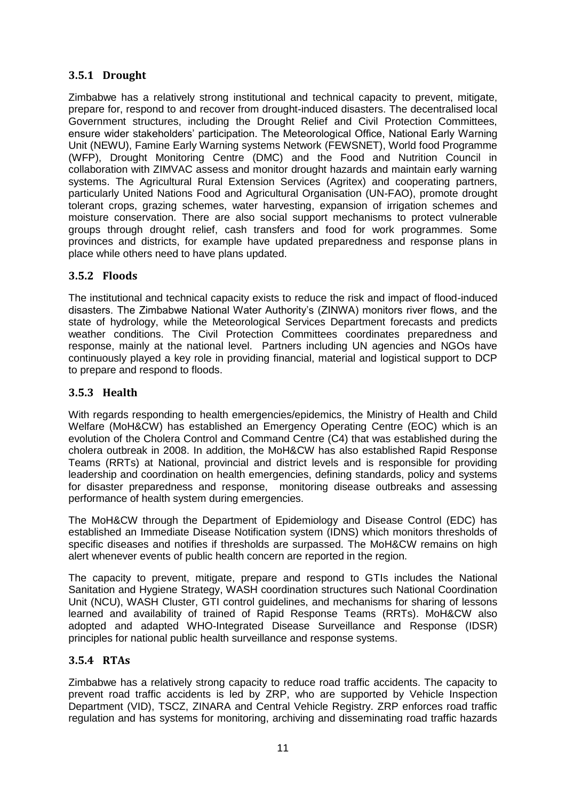## <span id="page-10-0"></span>**3.5.1 Drought**

Zimbabwe has a relatively strong institutional and technical capacity to prevent, mitigate, prepare for, respond to and recover from drought-induced disasters. The decentralised local Government structures, including the Drought Relief and Civil Protection Committees, ensure wider stakeholders' participation. The Meteorological Office, National Early Warning Unit (NEWU), Famine Early Warning systems Network (FEWSNET), World food Programme (WFP), Drought Monitoring Centre (DMC) and the Food and Nutrition Council in collaboration with ZIMVAC assess and monitor drought hazards and maintain early warning systems. The Agricultural Rural Extension Services (Agritex) and cooperating partners, particularly United Nations Food and Agricultural Organisation (UN-FAO), promote drought tolerant crops, grazing schemes, water harvesting, expansion of irrigation schemes and moisture conservation. There are also social support mechanisms to protect vulnerable groups through drought relief, cash transfers and food for work programmes. Some provinces and districts, for example have updated preparedness and response plans in place while others need to have plans updated.

#### <span id="page-10-1"></span>**3.5.2 Floods**

The institutional and technical capacity exists to reduce the risk and impact of flood-induced disasters. The Zimbabwe National Water Authority's (ZINWA) monitors river flows, and the state of hydrology, while the Meteorological Services Department forecasts and predicts weather conditions. The Civil Protection Committees coordinates preparedness and response, mainly at the national level. Partners including UN agencies and NGOs have continuously played a key role in providing financial, material and logistical support to DCP to prepare and respond to floods.

#### <span id="page-10-2"></span>**3.5.3 Health**

With regards responding to health emergencies/epidemics, the Ministry of Health and Child Welfare (MoH&CW) has established an Emergency Operating Centre (EOC) which is an evolution of the Cholera Control and Command Centre (C4) that was established during the cholera outbreak in 2008. In addition, the MoH&CW has also established Rapid Response Teams (RRTs) at National, provincial and district levels and is responsible for providing leadership and coordination on health emergencies, defining standards, policy and systems for disaster preparedness and response, monitoring disease outbreaks and assessing performance of health system during emergencies.

The MoH&CW through the Department of Epidemiology and Disease Control (EDC) has established an Immediate Disease Notification system (IDNS) which monitors thresholds of specific diseases and notifies if thresholds are surpassed. The MoH&CW remains on high alert whenever events of public health concern are reported in the region.

The capacity to prevent, mitigate, prepare and respond to GTIs includes the National Sanitation and Hygiene Strategy, WASH coordination structures such National Coordination Unit (NCU), WASH Cluster, GTI control guidelines, and mechanisms for sharing of lessons learned and availability of trained of Rapid Response Teams (RRTs). MoH&CW also adopted and adapted WHO-Integrated Disease Surveillance and Response (IDSR) principles for national public health surveillance and response systems.

#### <span id="page-10-3"></span>**3.5.4 RTAs**

Zimbabwe has a relatively strong capacity to reduce road traffic accidents. The capacity to prevent road traffic accidents is led by ZRP, who are supported by Vehicle Inspection Department (VID), TSCZ, ZINARA and Central Vehicle Registry. ZRP enforces road traffic regulation and has systems for monitoring, archiving and disseminating road traffic hazards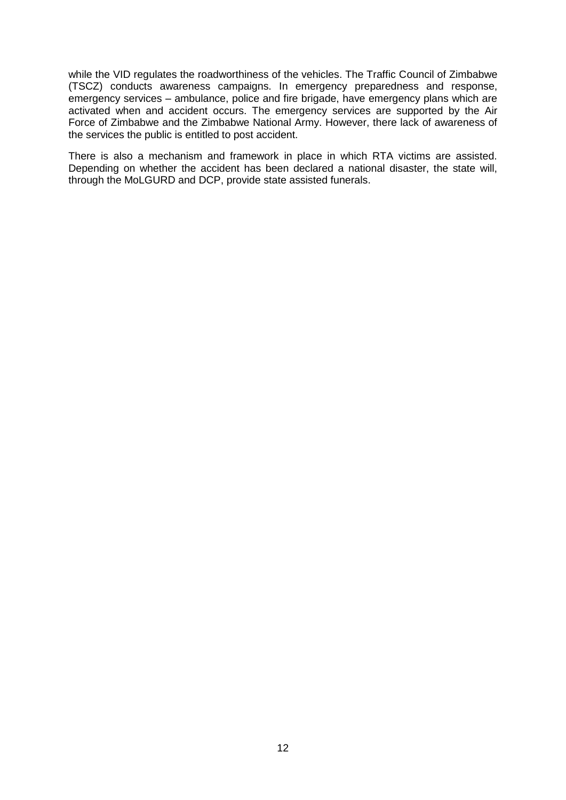while the VID regulates the roadworthiness of the vehicles. The Traffic Council of Zimbabwe (TSCZ) conducts awareness campaigns. In emergency preparedness and response, emergency services – ambulance, police and fire brigade, have emergency plans which are activated when and accident occurs. The emergency services are supported by the Air Force of Zimbabwe and the Zimbabwe National Army. However, there lack of awareness of the services the public is entitled to post accident.

There is also a mechanism and framework in place in which RTA victims are assisted. Depending on whether the accident has been declared a national disaster, the state will, through the MoLGURD and DCP, provide state assisted funerals.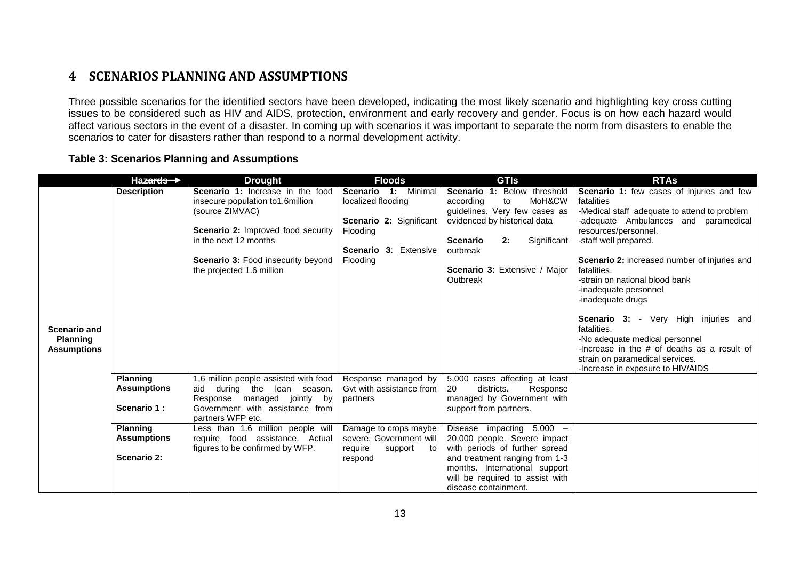# **4 SCENARIOS PLANNING AND ASSUMPTIONS**

Three possible scenarios for the identified sectors have been developed, indicating the most likely scenario and highlighting key cross cutting issues to be considered such as HIV and AIDS, protection, environment and early recovery and gender. Focus is on how each hazard would affect various sectors in the event of a disaster. In coming up with scenarios it was important to separate the norm from disasters to enable the scenarios to cater for disasters rather than respond to a normal development activity.

#### **Table 3: Scenarios Planning and Assumptions**

<span id="page-12-1"></span><span id="page-12-0"></span>

|                                       | Hazards $\rightarrow$ | <b>Drought</b>                                                         | <b>Floods</b>                                       | <b>GTIS</b>                                                      | <b>RTAs</b>                                                                     |
|---------------------------------------|-----------------------|------------------------------------------------------------------------|-----------------------------------------------------|------------------------------------------------------------------|---------------------------------------------------------------------------------|
|                                       | <b>Description</b>    | Scenario 1: Increase in the food<br>insecure population to 1.6 million | Scenario 1: Minimal<br>localized flooding           | Scenario 1: Below threshold<br>MoH&CW<br>according<br>to         | <b>Scenario 1:</b> few cases of injuries and few<br>fatalities                  |
|                                       |                       | (source ZIMVAC)                                                        |                                                     | guidelines. Very few cases as                                    | -Medical staff adequate to attend to problem                                    |
|                                       |                       | <b>Scenario 2: Improved food security</b>                              | <b>Scenario 2: Significant</b><br>Flooding          | evidenced by historical data                                     | -adequate Ambulances and paramedical<br>resources/personnel.                    |
|                                       |                       | in the next 12 months                                                  |                                                     | Significant<br><b>Scenario</b><br>2:                             | -staff well prepared.                                                           |
|                                       |                       | <b>Scenario 3: Food insecurity beyond</b>                              | <b>Scenario 3: Extensive</b><br>Flooding            | outbreak                                                         | Scenario 2: increased number of injuries and                                    |
|                                       |                       | the projected 1.6 million                                              |                                                     | Scenario 3: Extensive / Major                                    | fatalities.                                                                     |
|                                       |                       |                                                                        |                                                     | Outbreak                                                         | -strain on national blood bank<br>-inadequate personnel<br>-inadequate drugs    |
| <b>Scenario and</b>                   |                       |                                                                        |                                                     |                                                                  | <b>Scenario 3:</b> - Very High injuries and<br>fatalities.                      |
| <b>Planning</b><br><b>Assumptions</b> |                       |                                                                        |                                                     |                                                                  | -No adequate medical personnel<br>-Increase in the $#$ of deaths as a result of |
|                                       |                       |                                                                        |                                                     |                                                                  | strain on paramedical services.<br>-Increase in exposure to HIV/AIDS            |
|                                       | <b>Planning</b>       | 1,6 million people assisted with food                                  | Response managed by                                 | 5,000 cases affecting at least                                   |                                                                                 |
|                                       | <b>Assumptions</b>    | aid<br>during<br>the lean season.<br>Response managed jointly by       | Gyt with assistance from<br>partners                | 20<br>districts.<br>Response<br>managed by Government with       |                                                                                 |
|                                       | Scenario 1:           | Government with assistance from<br>partners WFP etc.                   |                                                     | support from partners.                                           |                                                                                 |
|                                       | <b>Planning</b>       | Less than 1.6 million people will                                      | Damage to crops maybe                               | Disease impacting 5,000 -                                        |                                                                                 |
|                                       | <b>Assumptions</b>    | require food assistance. Actual<br>figures to be confirmed by WFP.     | severe. Government will<br>require<br>support<br>to | 20,000 people. Severe impact<br>with periods of further spread   |                                                                                 |
|                                       | Scenario 2:           |                                                                        | respond                                             | and treatment ranging from 1-3                                   |                                                                                 |
|                                       |                       |                                                                        |                                                     | months. International support<br>will be required to assist with |                                                                                 |
|                                       |                       |                                                                        |                                                     | disease containment.                                             |                                                                                 |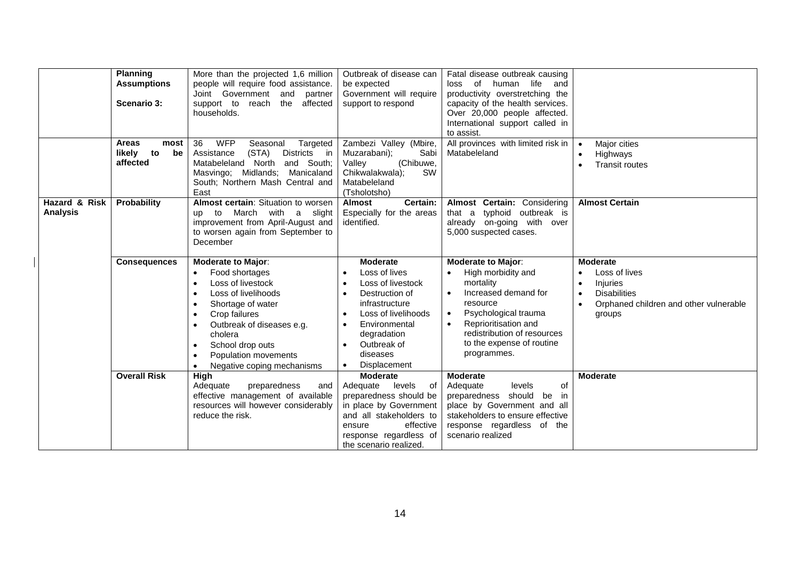|                                  | <b>Planning</b><br><b>Assumptions</b><br>Scenario 3:   | More than the projected 1,6 million<br>people will require food assistance.<br>Joint Government and<br>partner<br>affected<br>support to<br>reach<br>the<br>households.                                                                                                                                                                                              | Outbreak of disease can<br>be expected<br>Government will require<br>support to respond                                                                                                                               | Fatal disease outbreak causing<br>of human life<br>and<br>loss<br>productivity overstretching the<br>capacity of the health services.<br>Over 20,000 people affected.<br>International support called in<br>to assist.            |                                                                                                                                                                                    |
|----------------------------------|--------------------------------------------------------|----------------------------------------------------------------------------------------------------------------------------------------------------------------------------------------------------------------------------------------------------------------------------------------------------------------------------------------------------------------------|-----------------------------------------------------------------------------------------------------------------------------------------------------------------------------------------------------------------------|-----------------------------------------------------------------------------------------------------------------------------------------------------------------------------------------------------------------------------------|------------------------------------------------------------------------------------------------------------------------------------------------------------------------------------|
|                                  | <b>Areas</b><br>most<br>likely<br>to<br>be<br>affected | <b>WFP</b><br>36<br>Seasonal<br>Targeted<br>Districts in<br>Assistance<br>(STA)<br>Matabeleland North<br>and South:<br>Masvingo; Midlands;<br>Manicaland<br>South; Northern Mash Central and<br>East                                                                                                                                                                 | Zambezi Valley (Mbire,<br>Muzarabani);<br>Sabi<br>(Chibuwe,<br>Valley<br><b>SW</b><br>Chikwalakwala);<br>Matabeleland<br>(Tsholotsho)                                                                                 | All provinces with limited risk in<br>Matabeleland                                                                                                                                                                                | Major cities<br>$\bullet$<br>Highways<br>$\bullet$<br><b>Transit routes</b><br>$\bullet$                                                                                           |
| Hazard & Risk<br><b>Analysis</b> | Probability                                            | Almost certain: Situation to worsen<br>to March with a slight<br>up<br>improvement from April-August and<br>to worsen again from September to<br>December                                                                                                                                                                                                            | <b>Almost</b><br>Certain:<br>Especially for the areas<br>identified.                                                                                                                                                  | Almost Certain: Considering<br>that a typhoid outbreak is<br>already on-going with over<br>5,000 suspected cases.                                                                                                                 | <b>Almost Certain</b>                                                                                                                                                              |
|                                  | <b>Consequences</b>                                    | <b>Moderate to Major:</b><br>Food shortages<br>$\bullet$<br>Loss of livestock<br>$\bullet$<br>Loss of livelihoods<br>$\bullet$<br>Shortage of water<br>$\bullet$<br>Crop failures<br>$\bullet$<br>Outbreak of diseases e.g.<br>$\bullet$<br>cholera<br>School drop outs<br>$\bullet$<br>Population movements<br>$\bullet$<br>Negative coping mechanisms<br>$\bullet$ | <b>Moderate</b><br>Loss of lives<br>Loss of livestock<br>Destruction of<br>infrastructure<br>Loss of livelihoods<br>Environmental<br>degradation<br>Outbreak of<br>$\bullet$<br>diseases<br>Displacement<br>$\bullet$ | Moderate to Major:<br>High morbidity and<br>mortality<br>Increased demand for<br>resource<br>Psychological trauma<br>$\bullet$<br>Reprioritisation and<br>redistribution of resources<br>to the expense of routine<br>programmes. | <b>Moderate</b><br>Loss of lives<br>$\bullet$<br><b>Injuries</b><br>$\bullet$<br><b>Disabilities</b><br>$\bullet$<br>Orphaned children and other vulnerable<br>$\bullet$<br>groups |
|                                  | <b>Overall Risk</b>                                    | <b>High</b><br>Adequate<br>preparedness<br>and<br>effective management of available<br>resources will however considerably<br>reduce the risk.                                                                                                                                                                                                                       | <b>Moderate</b><br>Adequate<br>levels<br>of<br>preparedness should be<br>in place by Government<br>and all stakeholders to<br>effective<br>ensure<br>response regardless of<br>the scenario realized.                 | <b>Moderate</b><br>Adequate<br>levels<br>οf<br>preparedness should be<br>in.<br>place by Government and all<br>stakeholders to ensure effective<br>response regardless of the<br>scenario realized                                | <b>Moderate</b>                                                                                                                                                                    |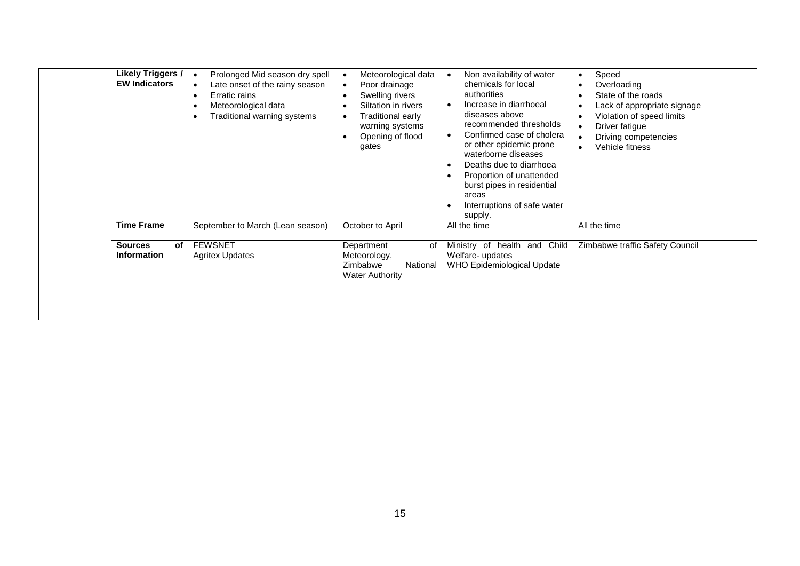| <b>Likely Triggers /</b><br><b>EW Indicators</b> | Prolonged Mid season dry spell<br>$\bullet$<br>Late onset of the rainy season<br>$\bullet$<br>Erratic rains<br>$\bullet$<br>Meteorological data<br>$\bullet$<br>Traditional warning systems<br>$\bullet$ | Meteorological data<br>Poor drainage<br>Swelling rivers<br>Siltation in rivers<br>Traditional early<br>warning systems<br>Opening of flood<br>gates | Non availability of water<br>chemicals for local<br>authorities<br>Increase in diarrhoeal<br>diseases above<br>recommended thresholds<br>Confirmed case of cholera<br>or other epidemic prone<br>waterborne diseases<br>Deaths due to diarrhoea<br>Proportion of unattended<br>burst pipes in residential<br>areas<br>Interruptions of safe water<br>supply. | Speed<br>$\bullet$<br>Overloading<br>$\bullet$<br>State of the roads<br>$\bullet$<br>Lack of appropriate signage<br>$\bullet$<br>Violation of speed limits<br>$\bullet$<br>Driver fatigue<br>$\bullet$<br>Driving competencies<br>$\bullet$<br>Vehicle fitness<br>$\bullet$ |
|--------------------------------------------------|----------------------------------------------------------------------------------------------------------------------------------------------------------------------------------------------------------|-----------------------------------------------------------------------------------------------------------------------------------------------------|--------------------------------------------------------------------------------------------------------------------------------------------------------------------------------------------------------------------------------------------------------------------------------------------------------------------------------------------------------------|-----------------------------------------------------------------------------------------------------------------------------------------------------------------------------------------------------------------------------------------------------------------------------|
| <b>Time Frame</b>                                | September to March (Lean season)                                                                                                                                                                         | October to April                                                                                                                                    | All the time                                                                                                                                                                                                                                                                                                                                                 | All the time                                                                                                                                                                                                                                                                |
| <b>Sources</b><br>of<br><b>Information</b>       | <b>FEWSNET</b><br><b>Agritex Updates</b>                                                                                                                                                                 | Department<br>of<br>Meteorology,<br>Zimbabwe<br>National<br><b>Water Authority</b>                                                                  | Ministry of health and Child<br>Welfare- updates<br>WHO Epidemiological Update                                                                                                                                                                                                                                                                               | Zimbabwe traffic Safety Council                                                                                                                                                                                                                                             |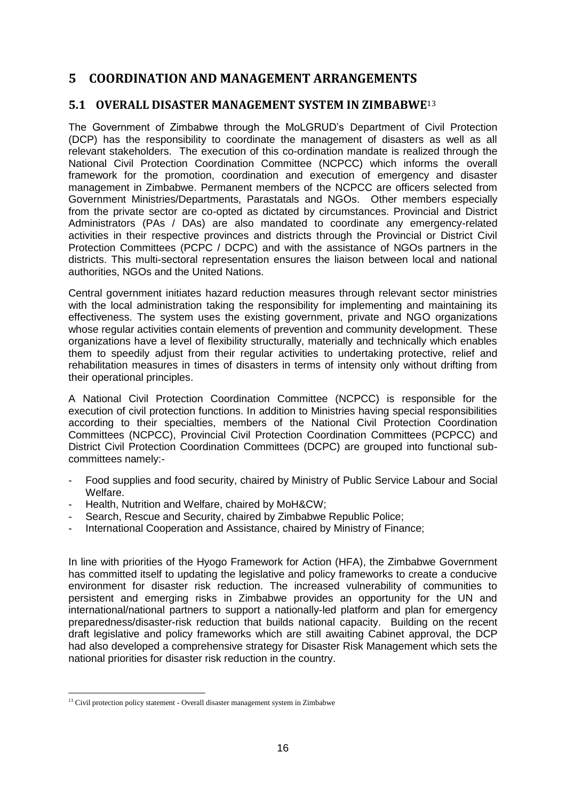# <span id="page-15-0"></span>**5 COORDINATION AND MANAGEMENT ARRANGEMENTS**

## <span id="page-15-1"></span>**5.1 OVERALL DISASTER MANAGEMENT SYSTEM IN ZIMBABWE**<sup>13</sup>

The Government of Zimbabwe through the MoLGRUD's Department of Civil Protection (DCP) has the responsibility to coordinate the management of disasters as well as all relevant stakeholders. The execution of this co-ordination mandate is realized through the National Civil Protection Coordination Committee (NCPCC) which informs the overall framework for the promotion, coordination and execution of emergency and disaster management in Zimbabwe. Permanent members of the NCPCC are officers selected from Government Ministries/Departments, Parastatals and NGOs. Other members especially from the private sector are co-opted as dictated by circumstances. Provincial and District Administrators (PAs / DAs) are also mandated to coordinate any emergency-related activities in their respective provinces and districts through the Provincial or District Civil Protection Committees (PCPC / DCPC) and with the assistance of NGOs partners in the districts. This multi-sectoral representation ensures the liaison between local and national authorities, NGOs and the United Nations.

Central government initiates hazard reduction measures through relevant sector ministries with the local administration taking the responsibility for implementing and maintaining its effectiveness. The system uses the existing government, private and NGO organizations whose regular activities contain elements of prevention and community development. These organizations have a level of flexibility structurally, materially and technically which enables them to speedily adjust from their regular activities to undertaking protective, relief and rehabilitation measures in times of disasters in terms of intensity only without drifting from their operational principles.

A National Civil Protection Coordination Committee (NCPCC) is responsible for the execution of civil protection functions. In addition to Ministries having special responsibilities according to their specialties, members of the National Civil Protection Coordination Committees (NCPCC), Provincial Civil Protection Coordination Committees (PCPCC) and District Civil Protection Coordination Committees (DCPC) are grouped into functional subcommittees namely:-

- Food supplies and food security, chaired by Ministry of Public Service Labour and Social Welfare.
- Health, Nutrition and Welfare, chaired by MoH&CW;
- Search, Rescue and Security, chaired by Zimbabwe Republic Police;
- International Cooperation and Assistance, chaired by Ministry of Finance;

In line with priorities of the Hyogo Framework for Action (HFA), the Zimbabwe Government has committed itself to updating the legislative and policy frameworks to create a conducive environment for disaster risk reduction. The increased vulnerability of communities to persistent and emerging risks in Zimbabwe provides an opportunity for the UN and international/national partners to support a nationally-led platform and plan for emergency preparedness/disaster-risk reduction that builds national capacity. Building on the recent draft legislative and policy frameworks which are still awaiting Cabinet approval, the DCP had also developed a comprehensive strategy for Disaster Risk Management which sets the national priorities for disaster risk reduction in the country.

<sup>&</sup>lt;sup>13</sup> Civil protection policy statement - Overall disaster management system in Zimbabwe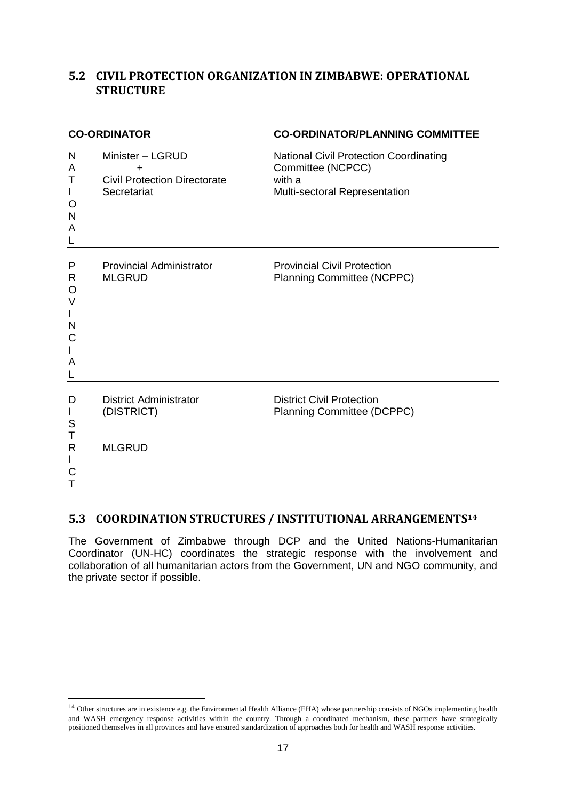## <span id="page-16-0"></span>**5.2 CIVIL PROTECTION ORGANIZATION IN ZIMBABWE: OPERATIONAL STRUCTURE**

|                                                                 | <b>CO-ORDINATOR</b>                                                         | <b>CO-ORDINATOR/PLANNING COMMITTEE</b>                                                                        |  |  |
|-----------------------------------------------------------------|-----------------------------------------------------------------------------|---------------------------------------------------------------------------------------------------------------|--|--|
| N<br>A<br>Т<br>L<br>O<br>N<br>A                                 | Minister - LGRUD<br>+<br><b>Civil Protection Directorate</b><br>Secretariat | <b>National Civil Protection Coordinating</b><br>Committee (NCPCC)<br>with a<br>Multi-sectoral Representation |  |  |
| Ρ<br>R<br>O<br>V<br>$\mathsf{I}$<br>N<br>C<br>$\mathbf{I}$<br>A | <b>Provincial Administrator</b><br><b>MLGRUD</b>                            | <b>Provincial Civil Protection</b><br><b>Planning Committee (NCPPC)</b>                                       |  |  |
| D<br>L<br>S<br>Т<br>R<br>L<br>С<br>T                            | <b>District Administrator</b><br>(DISTRICT)<br><b>MLGRUD</b>                | <b>District Civil Protection</b><br>Planning Committee (DCPPC)                                                |  |  |

# <span id="page-16-1"></span>**5.3 COORDINATION STRUCTURES / INSTITUTIONAL ARRANGEMENTS<sup>14</sup>**

The Government of Zimbabwe through DCP and the United Nations-Humanitarian Coordinator (UN-HC) coordinates the strategic response with the involvement and collaboration of all humanitarian actors from the Government, UN and NGO community, and the private sector if possible.

<sup>&</sup>lt;sup>14</sup> Other structures are in existence e.g. the Environmental Health Alliance (EHA) whose partnership consists of NGOs implementing health and WASH emergency response activities within the country. Through a coordinated mechanism, these partners have strategically positioned themselves in all provinces and have ensured standardization of approaches both for health and WASH response activities.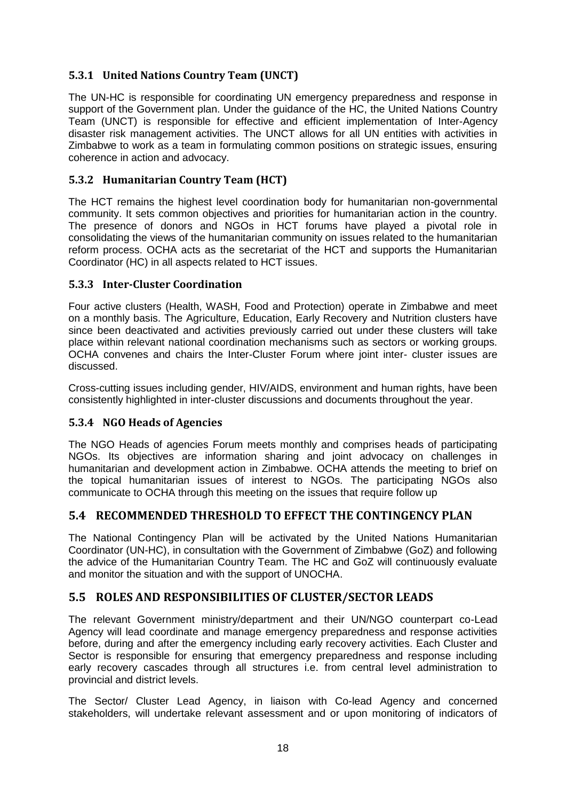## <span id="page-17-0"></span>**5.3.1 United Nations Country Team (UNCT)**

The UN-HC is responsible for coordinating UN emergency preparedness and response in support of the Government plan. Under the guidance of the HC, the United Nations Country Team (UNCT) is responsible for effective and efficient implementation of Inter-Agency disaster risk management activities. The UNCT allows for all UN entities with activities in Zimbabwe to work as a team in formulating common positions on strategic issues, ensuring coherence in action and advocacy.

## <span id="page-17-1"></span>**5.3.2 Humanitarian Country Team (HCT)**

The HCT remains the highest level coordination body for humanitarian non-governmental community. It sets common objectives and priorities for humanitarian action in the country. The presence of donors and NGOs in HCT forums have played a pivotal role in consolidating the views of the humanitarian community on issues related to the humanitarian reform process. OCHA acts as the secretariat of the HCT and supports the Humanitarian Coordinator (HC) in all aspects related to HCT issues.

#### <span id="page-17-2"></span>**5.3.3 Inter-Cluster Coordination**

Four active clusters (Health, WASH, Food and Protection) operate in Zimbabwe and meet on a monthly basis. The Agriculture, Education, Early Recovery and Nutrition clusters have since been deactivated and activities previously carried out under these clusters will take place within relevant national coordination mechanisms such as sectors or working groups. OCHA convenes and chairs the Inter-Cluster Forum where joint inter- cluster issues are discussed.

Cross-cutting issues including gender, HIV/AIDS, environment and human rights, have been consistently highlighted in inter-cluster discussions and documents throughout the year.

#### <span id="page-17-3"></span>**5.3.4 NGO Heads of Agencies**

The NGO Heads of agencies Forum meets monthly and comprises heads of participating NGOs. Its objectives are information sharing and joint advocacy on challenges in humanitarian and development action in Zimbabwe. OCHA attends the meeting to brief on the topical humanitarian issues of interest to NGOs. The participating NGOs also communicate to OCHA through this meeting on the issues that require follow up

## <span id="page-17-4"></span>**5.4 RECOMMENDED THRESHOLD TO EFFECT THE CONTINGENCY PLAN**

The National Contingency Plan will be activated by the United Nations Humanitarian Coordinator (UN-HC), in consultation with the Government of Zimbabwe (GoZ) and following the advice of the Humanitarian Country Team. The HC and GoZ will continuously evaluate and monitor the situation and with the support of UNOCHA.

#### <span id="page-17-5"></span>**5.5 ROLES AND RESPONSIBILITIES OF CLUSTER/SECTOR LEADS**

The relevant Government ministry/department and their UN/NGO counterpart co-Lead Agency will lead coordinate and manage emergency preparedness and response activities before, during and after the emergency including early recovery activities. Each Cluster and Sector is responsible for ensuring that emergency preparedness and response including early recovery cascades through all structures i.e. from central level administration to provincial and district levels.

The Sector/ Cluster Lead Agency, in liaison with Co-lead Agency and concerned stakeholders, will undertake relevant assessment and or upon monitoring of indicators of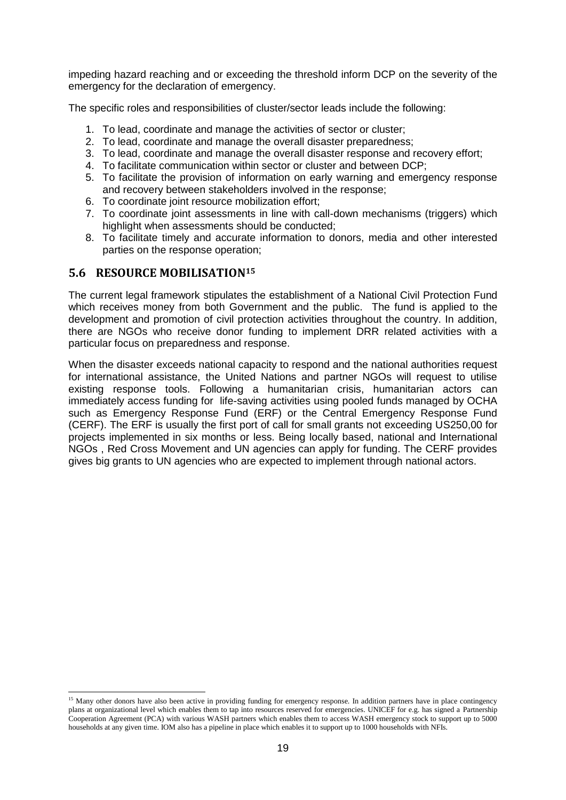impeding hazard reaching and or exceeding the threshold inform DCP on the severity of the emergency for the declaration of emergency.

The specific roles and responsibilities of cluster/sector leads include the following:

- 1. To lead, coordinate and manage the activities of sector or cluster;
- 2. To lead, coordinate and manage the overall disaster preparedness;
- 3. To lead, coordinate and manage the overall disaster response and recovery effort;
- 4. To facilitate communication within sector or cluster and between DCP;
- 5. To facilitate the provision of information on early warning and emergency response and recovery between stakeholders involved in the response;
- 6. To coordinate joint resource mobilization effort;
- 7. To coordinate joint assessments in line with call-down mechanisms (triggers) which highlight when assessments should be conducted;
- 8. To facilitate timely and accurate information to donors, media and other interested parties on the response operation;

#### <span id="page-18-0"></span>**5.6 RESOURCE MOBILISATION<sup>15</sup>**

-

The current legal framework stipulates the establishment of a National Civil Protection Fund which receives money from both Government and the public. The fund is applied to the development and promotion of civil protection activities throughout the country. In addition, there are NGOs who receive donor funding to implement DRR related activities with a particular focus on preparedness and response.

When the disaster exceeds national capacity to respond and the national authorities request for international assistance, the United Nations and partner NGOs will request to utilise existing response tools. Following a humanitarian crisis, humanitarian actors can immediately access funding for life-saving activities using pooled funds managed by OCHA such as Emergency Response Fund (ERF) or the Central Emergency Response Fund (CERF). The ERF is usually the first port of call for small grants not exceeding US250,00 for projects implemented in six months or less. Being locally based, national and International NGOs , Red Cross Movement and UN agencies can apply for funding. The CERF provides gives big grants to UN agencies who are expected to implement through national actors.

<sup>&</sup>lt;sup>15</sup> Many other donors have also been active in providing funding for emergency response. In addition partners have in place contingency plans at organizational level which enables them to tap into resources reserved for emergencies. UNICEF for e.g. has signed a Partnership Cooperation Agreement (PCA) with various WASH partners which enables them to access WASH emergency stock to support up to 5000 households at any given time. IOM also has a pipeline in place which enables it to support up to 1000 households with NFIs.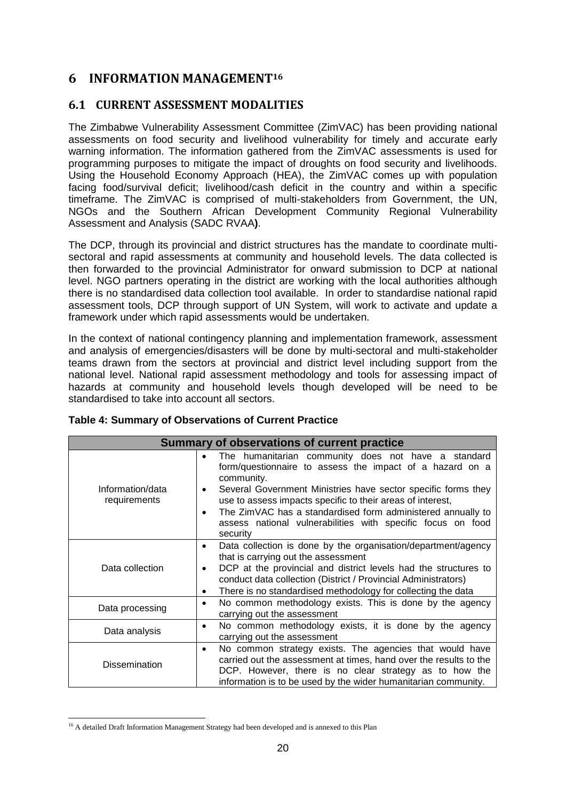## <span id="page-19-0"></span>**6 INFORMATION MANAGEMENT<sup>16</sup>**

## <span id="page-19-1"></span>**6.1 CURRENT ASSESSMENT MODALITIES**

The Zimbabwe Vulnerability Assessment Committee (ZimVAC) has been providing national assessments on food security and livelihood vulnerability for timely and accurate early warning information. The information gathered from the ZimVAC assessments is used for programming purposes to mitigate the impact of droughts on food security and livelihoods. Using the Household Economy Approach (HEA), the ZimVAC comes up with population facing food/survival deficit; livelihood/cash deficit in the country and within a specific timeframe. The ZimVAC is comprised of multi-stakeholders from Government, the UN, NGOs and the Southern African Development Community Regional Vulnerability Assessment and Analysis (SADC RVAA**)**.

The DCP, through its provincial and district structures has the mandate to coordinate multisectoral and rapid assessments at community and household levels. The data collected is then forwarded to the provincial Administrator for onward submission to DCP at national level. NGO partners operating in the district are working with the local authorities although there is no standardised data collection tool available. In order to standardise national rapid assessment tools, DCP through support of UN System, will work to activate and update a framework under which rapid assessments would be undertaken.

In the context of national contingency planning and implementation framework, assessment and analysis of emergencies/disasters will be done by multi-sectoral and multi-stakeholder teams drawn from the sectors at provincial and district level including support from the national level. National rapid assessment methodology and tools for assessing impact of hazards at community and household levels though developed will be need to be standardised to take into account all sectors.

|                                  | Summary of observations of current practice                                                                                                                                                                                                                                                                                                                                                                 |  |  |  |
|----------------------------------|-------------------------------------------------------------------------------------------------------------------------------------------------------------------------------------------------------------------------------------------------------------------------------------------------------------------------------------------------------------------------------------------------------------|--|--|--|
| Information/data<br>requirements | The humanitarian community does not have a standard<br>form/questionnaire to assess the impact of a hazard on a<br>community.<br>Several Government Ministries have sector specific forms they<br>٠<br>use to assess impacts specific to their areas of interest,<br>The ZimVAC has a standardised form administered annually to<br>assess national vulnerabilities with specific focus on food<br>security |  |  |  |
| Data collection                  | Data collection is done by the organisation/department/agency<br>that is carrying out the assessment<br>DCP at the provincial and district levels had the structures to<br>conduct data collection (District / Provincial Administrators)<br>There is no standardised methodology for collecting the data<br>٠                                                                                              |  |  |  |
| Data processing                  | No common methodology exists. This is done by the agency<br>$\bullet$<br>carrying out the assessment                                                                                                                                                                                                                                                                                                        |  |  |  |
| Data analysis                    | No common methodology exists, it is done by the agency<br>$\bullet$<br>carrying out the assessment                                                                                                                                                                                                                                                                                                          |  |  |  |
| <b>Dissemination</b>             | No common strategy exists. The agencies that would have<br>$\bullet$<br>carried out the assessment at times, hand over the results to the<br>DCP. However, there is no clear strategy as to how the<br>information is to be used by the wider humanitarian community.                                                                                                                                       |  |  |  |

#### <span id="page-19-2"></span>**Table 4: Summary of Observations of Current Practice**

<sup>&</sup>lt;sup>16</sup> A detailed Draft Information Management Strategy had been developed and is annexed to this Plan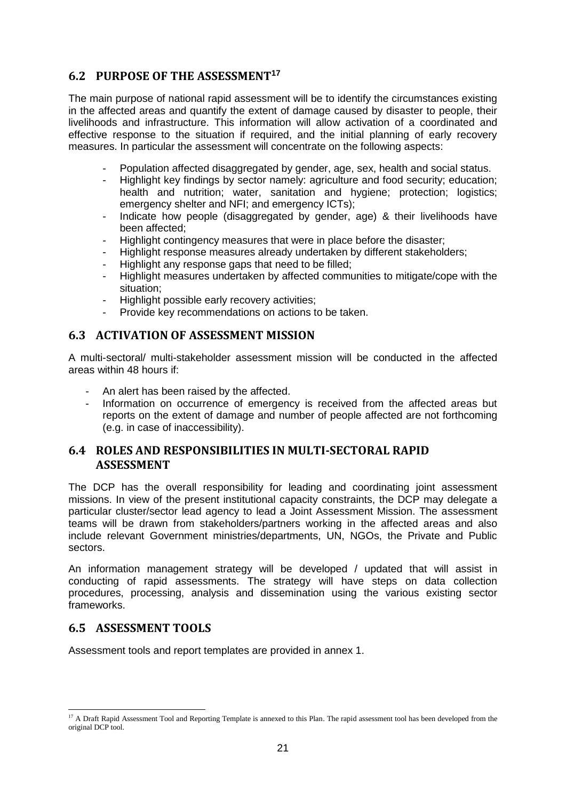## <span id="page-20-0"></span>**6.2 PURPOSE OF THE ASSESSMENT<sup>17</sup>**

The main purpose of national rapid assessment will be to identify the circumstances existing in the affected areas and quantify the extent of damage caused by disaster to people, their livelihoods and infrastructure. This information will allow activation of a coordinated and effective response to the situation if required, and the initial planning of early recovery measures. In particular the assessment will concentrate on the following aspects:

- Population affected disaggregated by gender, age, sex, health and social status.
- Highlight key findings by sector namely: agriculture and food security; education; health and nutrition; water, sanitation and hygiene; protection; logistics; emergency shelter and NFI; and emergency ICTs);
- Indicate how people (disaggregated by gender, age) & their livelihoods have been affected;
- Highlight contingency measures that were in place before the disaster;
- Highlight response measures already undertaken by different stakeholders;
- Highlight any response gaps that need to be filled;
- Highlight measures undertaken by affected communities to mitigate/cope with the situation;
- Highlight possible early recovery activities;
- Provide key recommendations on actions to be taken.

#### <span id="page-20-1"></span>**6.3 ACTIVATION OF ASSESSMENT MISSION**

A multi-sectoral/ multi-stakeholder assessment mission will be conducted in the affected areas within 48 hours if:

- An alert has been raised by the affected.
- Information on occurrence of emergency is received from the affected areas but reports on the extent of damage and number of people affected are not forthcoming (e.g. in case of inaccessibility).

## <span id="page-20-2"></span>**6.4 ROLES AND RESPONSIBILITIES IN MULTI-SECTORAL RAPID ASSESSMENT**

The DCP has the overall responsibility for leading and coordinating joint assessment missions. In view of the present institutional capacity constraints, the DCP may delegate a particular cluster/sector lead agency to lead a Joint Assessment Mission. The assessment teams will be drawn from stakeholders/partners working in the affected areas and also include relevant Government ministries/departments, UN, NGOs, the Private and Public sectors.

An information management strategy will be developed / updated that will assist in conducting of rapid assessments. The strategy will have steps on data collection procedures, processing, analysis and dissemination using the various existing sector frameworks.

## <span id="page-20-3"></span>**6.5 ASSESSMENT TOOLS**

Assessment tools and report templates are provided in annex 1.

<sup>-</sup><sup>17</sup> A Draft Rapid Assessment Tool and Reporting Template is annexed to this Plan. The rapid assessment tool has been developed from the original DCP tool.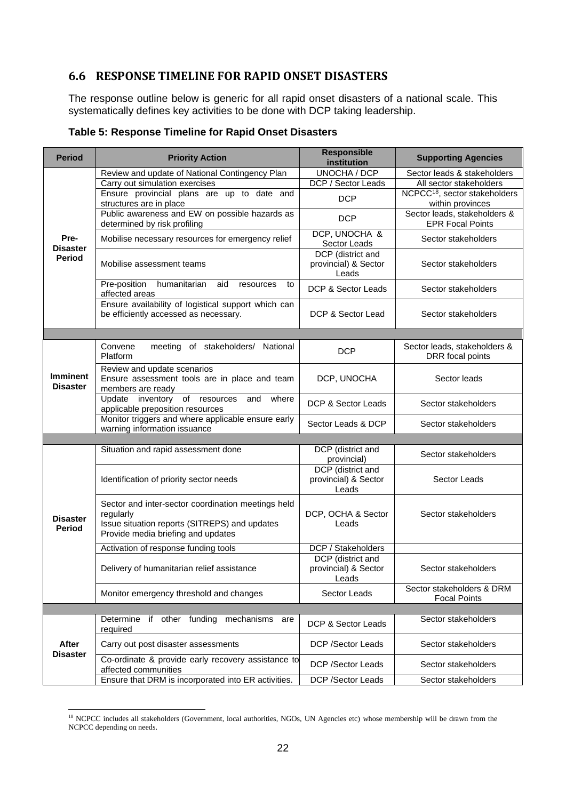## <span id="page-21-0"></span>**6.6 RESPONSE TIMELINE FOR RAPID ONSET DISASTERS**

The response outline below is generic for all rapid onset disasters of a national scale. This systematically defines key activities to be done with DCP taking leadership.

| <b>Period</b>                      | <b>Priority Action</b>                                                                                                                                 | <b>Responsible</b><br>institution                  | <b>Supporting Agencies</b>                                    |
|------------------------------------|--------------------------------------------------------------------------------------------------------------------------------------------------------|----------------------------------------------------|---------------------------------------------------------------|
|                                    | Review and update of National Contingency Plan                                                                                                         | <b>UNOCHA / DCP</b>                                | Sector leads & stakeholders                                   |
|                                    | Carry out simulation exercises                                                                                                                         | DCP / Sector Leads                                 | All sector stakeholders                                       |
|                                    | Ensure provincial plans are up to date and<br>structures are in place                                                                                  | <b>DCP</b>                                         | NCPCC <sup>18</sup> , sector stakeholders<br>within provinces |
|                                    | Public awareness and EW on possible hazards as<br>determined by risk profiling                                                                         | <b>DCP</b>                                         | Sector leads, stakeholders &<br><b>EPR Focal Points</b>       |
| Pre-<br><b>Disaster</b><br>Period  | Mobilise necessary resources for emergency relief                                                                                                      | DCP, UNOCHA &<br>Sector Leads                      | Sector stakeholders                                           |
|                                    | Mobilise assessment teams                                                                                                                              | DCP (district and<br>provincial) & Sector<br>Leads | Sector stakeholders                                           |
|                                    | Pre-position<br>humanitarian<br>aid<br>resources<br>to<br>affected areas                                                                               | DCP & Sector Leads                                 | Sector stakeholders                                           |
|                                    | Ensure availability of logistical support which can<br>be efficiently accessed as necessary.                                                           | DCP & Sector Lead                                  | Sector stakeholders                                           |
|                                    |                                                                                                                                                        |                                                    |                                                               |
|                                    | Convene<br>meeting of stakeholders/ National<br>Platform                                                                                               | <b>DCP</b>                                         | Sector leads, stakeholders &<br>DRR focal points              |
| <b>Imminent</b><br><b>Disaster</b> | Review and update scenarios<br>Ensure assessment tools are in place and team<br>members are ready                                                      | DCP, UNOCHA                                        | Sector leads                                                  |
|                                    | Update<br>inventory of resources<br>and<br>where<br>applicable preposition resources                                                                   | DCP & Sector Leads                                 | Sector stakeholders                                           |
|                                    | Monitor triggers and where applicable ensure early<br>warning information issuance                                                                     | Sector Leads & DCP                                 | Sector stakeholders                                           |
|                                    |                                                                                                                                                        |                                                    |                                                               |
|                                    | Situation and rapid assessment done                                                                                                                    | DCP (district and<br>provincial)                   | Sector stakeholders                                           |
|                                    | Identification of priority sector needs                                                                                                                | DCP (district and<br>provincial) & Sector<br>Leads | Sector Leads                                                  |
| <b>Disaster</b><br><b>Period</b>   | Sector and inter-sector coordination meetings held<br>regularly<br>Issue situation reports (SITREPS) and updates<br>Provide media briefing and updates | DCP, OCHA & Sector<br>Leads                        | Sector stakeholders                                           |
|                                    | Activation of response funding tools                                                                                                                   | DCP / Stakeholders                                 |                                                               |
|                                    | Delivery of humanitarian relief assistance                                                                                                             | DCP (district and<br>provincial) & Sector<br>Leads | Sector stakeholders                                           |
|                                    | Monitor emergency threshold and changes                                                                                                                | Sector Leads                                       | Sector stakeholders & DRM<br><b>Focal Points</b>              |
|                                    |                                                                                                                                                        |                                                    |                                                               |
|                                    | Determine if other funding mechanisms are<br>required                                                                                                  | DCP & Sector Leads                                 | Sector stakeholders                                           |
| After<br><b>Disaster</b>           | Carry out post disaster assessments                                                                                                                    | <b>DCP</b> /Sector Leads                           | Sector stakeholders                                           |
|                                    | Co-ordinate & provide early recovery assistance to<br>affected communities                                                                             | DCP /Sector Leads                                  | Sector stakeholders                                           |
|                                    | Ensure that DRM is incorporated into ER activities.                                                                                                    | DCP /Sector Leads                                  | Sector stakeholders                                           |

#### <span id="page-21-1"></span>**Table 5: Response Timeline for Rapid Onset Disasters**

<sup>&</sup>lt;sup>18</sup> NCPCC includes all stakeholders (Government, local authorities, NGOs, UN Agencies etc) whose membership will be drawn from the NCPCC depending on needs.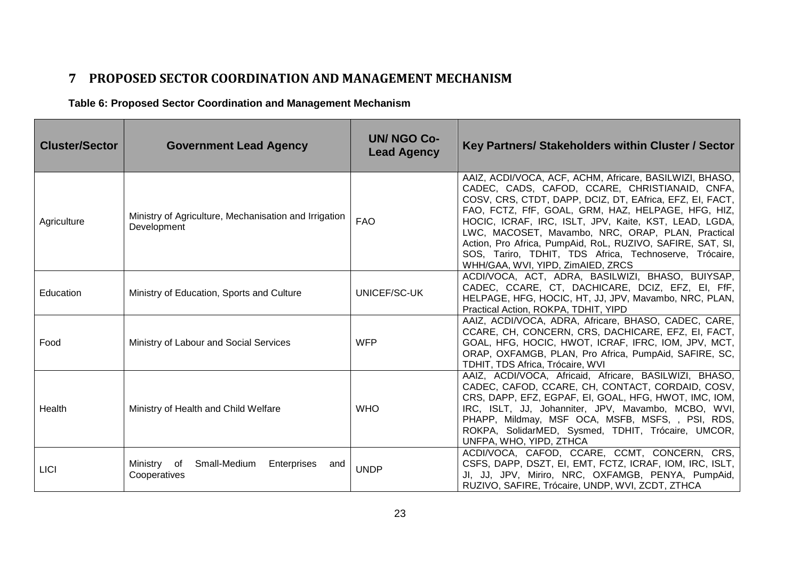# **7 PROPOSED SECTOR COORDINATION AND MANAGEMENT MECHANISM**

**Table 6: Proposed Sector Coordination and Management Mechanism**

<span id="page-22-1"></span><span id="page-22-0"></span>

| <b>Cluster/Sector</b> | <b>Government Lead Agency</b>                                        | <b>UN/ NGO Co-</b><br><b>Lead Agency</b> | Key Partners/ Stakeholders within Cluster / Sector                                                                                                                                                                                                                                                                                                                                                                                                                                                     |
|-----------------------|----------------------------------------------------------------------|------------------------------------------|--------------------------------------------------------------------------------------------------------------------------------------------------------------------------------------------------------------------------------------------------------------------------------------------------------------------------------------------------------------------------------------------------------------------------------------------------------------------------------------------------------|
| Agriculture           | Ministry of Agriculture, Mechanisation and Irrigation<br>Development | <b>FAO</b>                               | AAIZ, ACDI/VOCA, ACF, ACHM, Africare, BASILWIZI, BHASO,<br>CADEC, CADS, CAFOD, CCARE, CHRISTIANAID, CNFA,<br>COSV, CRS, CTDT, DAPP, DCIZ, DT, EAfrica, EFZ, EI, FACT,<br>FAO, FCTZ, FfF, GOAL, GRM, HAZ, HELPAGE, HFG, HIZ,<br>HOCIC, ICRAF, IRC, ISLT, JPV, Kaite, KST, LEAD, LGDA,<br>LWC, MACOSET, Mavambo, NRC, ORAP, PLAN, Practical<br>Action, Pro Africa, PumpAid, RoL, RUZIVO, SAFIRE, SAT, SI,<br>SOS, Tariro, TDHIT, TDS Africa, Technoserve, Trócaire,<br>WHH/GAA, WVI, YIPD, ZimAIED, ZRCS |
| Education             | Ministry of Education, Sports and Culture                            | UNICEF/SC-UK                             | ACDI/VOCA, ACT, ADRA, BASILWIZI, BHASO, BUIYSAP,<br>CADEC, CCARE, CT, DACHICARE, DCIZ, EFZ, EI, FfF,<br>HELPAGE, HFG, HOCIC, HT, JJ, JPV, Mavambo, NRC, PLAN,<br>Practical Action, ROKPA, TDHIT, YIPD                                                                                                                                                                                                                                                                                                  |
| Food                  | Ministry of Labour and Social Services                               | <b>WFP</b>                               | AAIZ, ACDI/VOCA, ADRA, Africare, BHASO, CADEC, CARE,<br>CCARE, CH, CONCERN, CRS, DACHICARE, EFZ, EI, FACT,<br>GOAL, HFG, HOCIC, HWOT, ICRAF, IFRC, IOM, JPV, MCT,<br>ORAP, OXFAMGB, PLAN, Pro Africa, PumpAid, SAFIRE, SC,<br>TDHIT, TDS Africa, Trócaire, WVI                                                                                                                                                                                                                                         |
| Health                | Ministry of Health and Child Welfare                                 | <b>WHO</b>                               | AAIZ, ACDI/VOCA, Africaid, Africare, BASILWIZI, BHASO,<br>CADEC, CAFOD, CCARE, CH, CONTACT, CORDAID, COSV,<br>CRS, DAPP, EFZ, EGPAF, EI, GOAL, HFG, HWOT, IMC, IOM,<br>IRC, ISLT, JJ, Johanniter, JPV, Mavambo, MCBO, WVI,<br>PHAPP, Mildmay, MSF OCA, MSFB, MSFS, , PSI, RDS,<br>ROKPA, SolidarMED, Sysmed, TDHIT, Trócaire, UMCOR,<br>UNFPA, WHO, YIPD, ZTHCA                                                                                                                                        |
| <b>LICI</b>           | Small-Medium<br>Ministry of<br>Enterprises<br>and<br>Cooperatives    | <b>UNDP</b>                              | ACDI/VOCA, CAFOD, CCARE, CCMT, CONCERN, CRS,<br>CSFS, DAPP, DSZT, EI, EMT, FCTZ, ICRAF, IOM, IRC, ISLT,<br>JI, JJ, JPV, Miriro, NRC, OXFAMGB, PENYA, PumpAid,<br>RUZIVO, SAFIRE, Trócaire, UNDP, WVI, ZCDT, ZTHCA                                                                                                                                                                                                                                                                                      |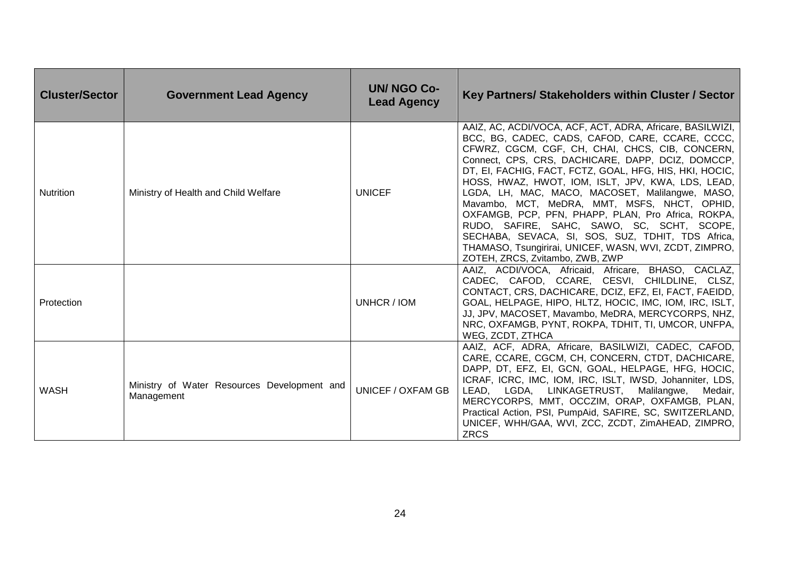| <b>Cluster/Sector</b> | <b>Government Lead Agency</b>                             | <b>UN/ NGO Co-</b><br><b>Lead Agency</b> | Key Partners/ Stakeholders within Cluster / Sector                                                                                                                                                                                                                                                                                                                                                                                                                                                                                                                                                                                                                                            |
|-----------------------|-----------------------------------------------------------|------------------------------------------|-----------------------------------------------------------------------------------------------------------------------------------------------------------------------------------------------------------------------------------------------------------------------------------------------------------------------------------------------------------------------------------------------------------------------------------------------------------------------------------------------------------------------------------------------------------------------------------------------------------------------------------------------------------------------------------------------|
| <b>Nutrition</b>      | Ministry of Health and Child Welfare                      | <b>UNICEF</b>                            | AAIZ, AC, ACDI/VOCA, ACF, ACT, ADRA, Africare, BASILWIZI,<br>BCC, BG, CADEC, CADS, CAFOD, CARE, CCARE, CCCC,<br>CFWRZ, CGCM, CGF, CH, CHAI, CHCS, CIB, CONCERN,<br>Connect, CPS, CRS, DACHICARE, DAPP, DCIZ, DOMCCP,<br>DT, EI, FACHIG, FACT, FCTZ, GOAL, HFG, HIS, HKI, HOCIC,<br>HOSS, HWAZ, HWOT, IOM, ISLT, JPV, KWA, LDS, LEAD,<br>LGDA, LH, MAC, MACO, MACOSET, Malilangwe, MASO,<br>Mavambo, MCT, MeDRA, MMT, MSFS, NHCT, OPHID,<br>OXFAMGB, PCP, PFN, PHAPP, PLAN, Pro Africa, ROKPA,<br>RUDO, SAFIRE, SAHC, SAWO, SC, SCHT, SCOPE,<br>SECHABA, SEVACA, SI, SOS, SUZ, TDHIT, TDS Africa,<br>THAMASO, Tsungirirai, UNICEF, WASN, WVI, ZCDT, ZIMPRO,<br>ZOTEH, ZRCS, Zvitambo, ZWB, ZWP |
| Protection            |                                                           | UNHCR / IOM                              | AAIZ, ACDI/VOCA, Africaid, Africare, BHASO, CACLAZ,<br>CADEC, CAFOD, CCARE, CESVI, CHILDLINE, CLSZ,<br>CONTACT, CRS, DACHICARE, DCIZ, EFZ, EI, FACT, FAEIDD,<br>GOAL, HELPAGE, HIPO, HLTZ, HOCIC, IMC, IOM, IRC, ISLT,<br>JJ, JPV, MACOSET, Mavambo, MeDRA, MERCYCORPS, NHZ,<br>NRC, OXFAMGB, PYNT, ROKPA, TDHIT, TI, UMCOR, UNFPA,<br>WEG, ZCDT, ZTHCA                                                                                                                                                                                                                                                                                                                                       |
| WASH                  | Ministry of Water Resources Development and<br>Management | <b>UNICEF / OXFAM GB</b>                 | AAIZ, ACF, ADRA, Africare, BASILWIZI, CADEC, CAFOD,<br>CARE, CCARE, CGCM, CH, CONCERN, CTDT, DACHICARE,<br>DAPP, DT, EFZ, EI, GCN, GOAL, HELPAGE, HFG, HOCIC,<br>ICRAF, ICRC, IMC, IOM, IRC, ISLT, IWSD, Johanniter, LDS,<br>LEAD, LGDA, LINKAGETRUST, Malilangwe,<br>Medair,<br>MERCYCORPS, MMT, OCCZIM, ORAP, OXFAMGB, PLAN,<br>Practical Action, PSI, PumpAid, SAFIRE, SC, SWITZERLAND,<br>UNICEF, WHH/GAA, WVI, ZCC, ZCDT, ZimAHEAD, ZIMPRO,<br><b>ZRCS</b>                                                                                                                                                                                                                               |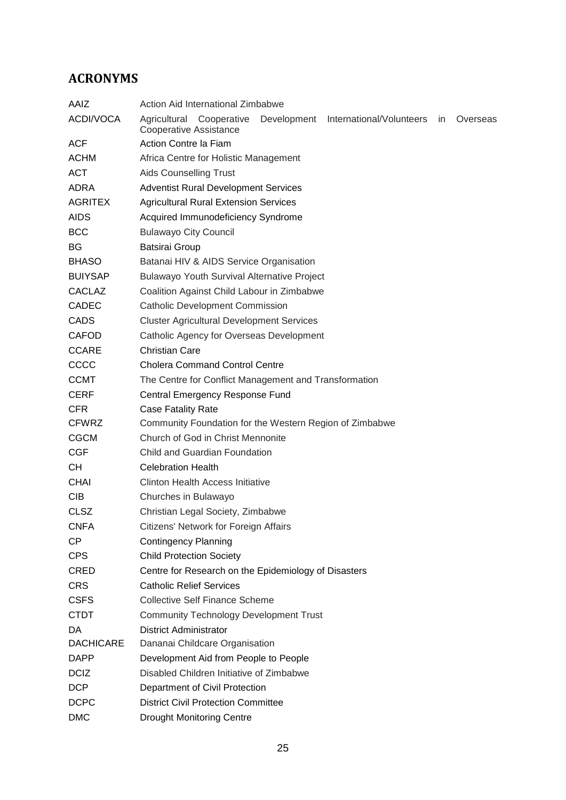# <span id="page-24-0"></span>**ACRONYMS**

| AAIZ             | Action Aid International Zimbabwe                                                                                             |  |  |  |  |
|------------------|-------------------------------------------------------------------------------------------------------------------------------|--|--|--|--|
| ACDI/VOCA        | Agricultural Cooperative<br>Development<br>International/Volunteers<br><i>in</i><br>Overseas<br><b>Cooperative Assistance</b> |  |  |  |  |
| <b>ACF</b>       | Action Contre la Fiam                                                                                                         |  |  |  |  |
| <b>ACHM</b>      | Africa Centre for Holistic Management                                                                                         |  |  |  |  |
| <b>ACT</b>       | <b>Aids Counselling Trust</b>                                                                                                 |  |  |  |  |
| ADRA             | <b>Adventist Rural Development Services</b>                                                                                   |  |  |  |  |
| <b>AGRITEX</b>   | <b>Agricultural Rural Extension Services</b>                                                                                  |  |  |  |  |
| <b>AIDS</b>      | Acquired Immunodeficiency Syndrome                                                                                            |  |  |  |  |
| <b>BCC</b>       | <b>Bulawayo City Council</b>                                                                                                  |  |  |  |  |
| BG               | <b>Batsirai Group</b>                                                                                                         |  |  |  |  |
| <b>BHASO</b>     | Batanai HIV & AIDS Service Organisation                                                                                       |  |  |  |  |
| <b>BUIYSAP</b>   | <b>Bulawayo Youth Survival Alternative Project</b>                                                                            |  |  |  |  |
| <b>CACLAZ</b>    | Coalition Against Child Labour in Zimbabwe                                                                                    |  |  |  |  |
| <b>CADEC</b>     | <b>Catholic Development Commission</b>                                                                                        |  |  |  |  |
| <b>CADS</b>      | <b>Cluster Agricultural Development Services</b>                                                                              |  |  |  |  |
| <b>CAFOD</b>     | Catholic Agency for Overseas Development                                                                                      |  |  |  |  |
| <b>CCARE</b>     | <b>Christian Care</b>                                                                                                         |  |  |  |  |
| CCCC             | <b>Cholera Command Control Centre</b>                                                                                         |  |  |  |  |
| <b>CCMT</b>      | The Centre for Conflict Management and Transformation                                                                         |  |  |  |  |
| <b>CERF</b>      | Central Emergency Response Fund                                                                                               |  |  |  |  |
| <b>CFR</b>       | <b>Case Fatality Rate</b>                                                                                                     |  |  |  |  |
| <b>CFWRZ</b>     | Community Foundation for the Western Region of Zimbabwe                                                                       |  |  |  |  |
| <b>CGCM</b>      | Church of God in Christ Mennonite                                                                                             |  |  |  |  |
| <b>CGF</b>       | Child and Guardian Foundation                                                                                                 |  |  |  |  |
| CH.              | <b>Celebration Health</b>                                                                                                     |  |  |  |  |
| <b>CHAI</b>      | Clinton Health Access Initiative                                                                                              |  |  |  |  |
| <b>CIB</b>       | Churches in Bulawayo                                                                                                          |  |  |  |  |
| <b>CLSZ</b>      | Christian Legal Society, Zimbabwe                                                                                             |  |  |  |  |
| <b>CNFA</b>      | Citizens' Network for Foreign Affairs                                                                                         |  |  |  |  |
| <b>CP</b>        | <b>Contingency Planning</b>                                                                                                   |  |  |  |  |
| <b>CPS</b>       | <b>Child Protection Society</b>                                                                                               |  |  |  |  |
| <b>CRED</b>      | Centre for Research on the Epidemiology of Disasters                                                                          |  |  |  |  |
| <b>CRS</b>       | <b>Catholic Relief Services</b>                                                                                               |  |  |  |  |
| <b>CSFS</b>      | <b>Collective Self Finance Scheme</b>                                                                                         |  |  |  |  |
| <b>CTDT</b>      | <b>Community Technology Development Trust</b>                                                                                 |  |  |  |  |
| DA               | <b>District Administrator</b>                                                                                                 |  |  |  |  |
| <b>DACHICARE</b> | Dananai Childcare Organisation                                                                                                |  |  |  |  |
| <b>DAPP</b>      | Development Aid from People to People                                                                                         |  |  |  |  |
| <b>DCIZ</b>      | Disabled Children Initiative of Zimbabwe                                                                                      |  |  |  |  |
| <b>DCP</b>       | Department of Civil Protection                                                                                                |  |  |  |  |
| <b>DCPC</b>      | <b>District Civil Protection Committee</b>                                                                                    |  |  |  |  |
| <b>DMC</b>       | <b>Drought Monitoring Centre</b>                                                                                              |  |  |  |  |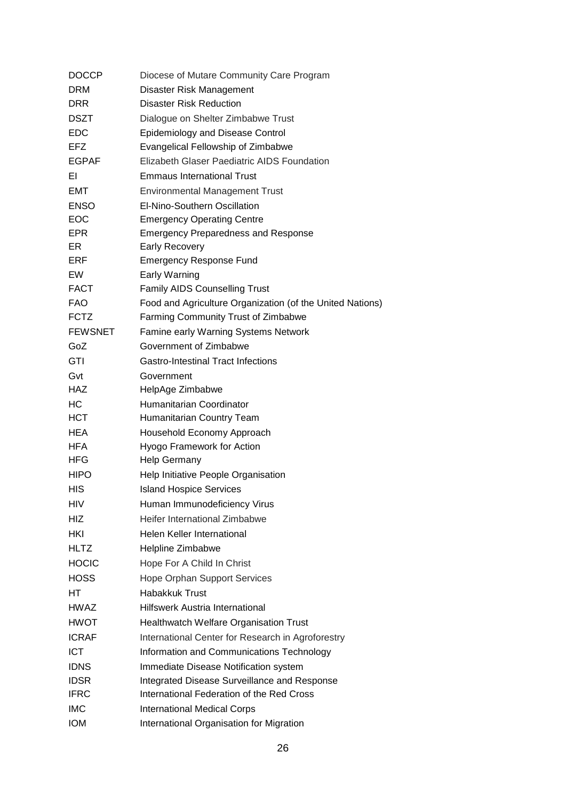| <b>DOCCP</b>   | Diocese of Mutare Community Care Program                  |
|----------------|-----------------------------------------------------------|
| <b>DRM</b>     | Disaster Risk Management                                  |
| <b>DRR</b>     | <b>Disaster Risk Reduction</b>                            |
| <b>DSZT</b>    | Dialogue on Shelter Zimbabwe Trust                        |
| <b>EDC</b>     | <b>Epidemiology and Disease Control</b>                   |
| EFZ            | <b>Evangelical Fellowship of Zimbabwe</b>                 |
| <b>EGPAF</b>   | Elizabeth Glaser Paediatric AIDS Foundation               |
| ΕI             | <b>Emmaus International Trust</b>                         |
| EMT            | <b>Environmental Management Trust</b>                     |
| <b>ENSO</b>    | El-Nino-Southern Oscillation                              |
| <b>EOC</b>     | <b>Emergency Operating Centre</b>                         |
| <b>EPR</b>     | <b>Emergency Preparedness and Response</b>                |
| ER             | <b>Early Recovery</b>                                     |
| ERF            | <b>Emergency Response Fund</b>                            |
| EW             | <b>Early Warning</b>                                      |
| <b>FACT</b>    | <b>Family AIDS Counselling Trust</b>                      |
| <b>FAO</b>     | Food and Agriculture Organization (of the United Nations) |
| <b>FCTZ</b>    | Farming Community Trust of Zimbabwe                       |
| <b>FEWSNET</b> | Famine early Warning Systems Network                      |
| GoZ            | Government of Zimbabwe                                    |
| GTI            | Gastro-Intestinal Tract Infections                        |
| Gvt            | Government                                                |
| <b>HAZ</b>     | HelpAge Zimbabwe                                          |
| НC             | Humanitarian Coordinator                                  |
| <b>HCT</b>     | Humanitarian Country Team                                 |
| <b>HEA</b>     | Household Economy Approach                                |
| <b>HFA</b>     | Hyogo Framework for Action                                |
| <b>HFG</b>     | Help Germany                                              |
| <b>HIPO</b>    | Help Initiative People Organisation                       |
| HIS            | <b>Island Hospice Services</b>                            |
| HIV            | Human Immunodeficiency Virus                              |
| HIZ            | Heifer International Zimbabwe                             |
| HKI            | Helen Keller International                                |
| <b>HLTZ</b>    | Helpline Zimbabwe                                         |
| <b>HOCIC</b>   | Hope For A Child In Christ                                |
| <b>HOSS</b>    | <b>Hope Orphan Support Services</b>                       |
| HТ             | Habakkuk Trust                                            |
| HWAZ           | <b>Hilfswerk Austria International</b>                    |
| HWOT           | <b>Healthwatch Welfare Organisation Trust</b>             |
| <b>ICRAF</b>   | International Center for Research in Agroforestry         |
| <b>ICT</b>     | Information and Communications Technology                 |
| <b>IDNS</b>    | Immediate Disease Notification system                     |
| <b>IDSR</b>    | Integrated Disease Surveillance and Response              |
| <b>IFRC</b>    | International Federation of the Red Cross                 |
| <b>IMC</b>     | <b>International Medical Corps</b>                        |
| <b>IOM</b>     | International Organisation for Migration                  |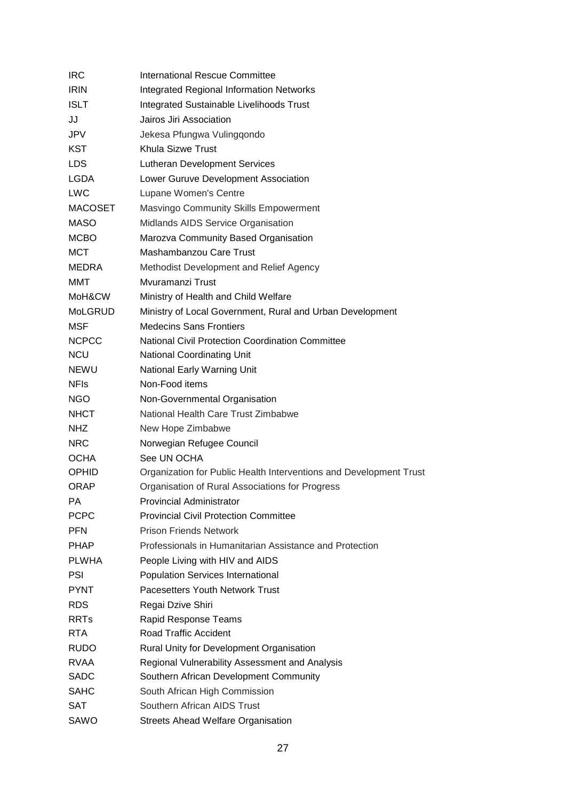| <b>IRC</b>     | <b>International Rescue Committee</b>                              |
|----------------|--------------------------------------------------------------------|
| <b>IRIN</b>    | <b>Integrated Regional Information Networks</b>                    |
| <b>ISLT</b>    | Integrated Sustainable Livelihoods Trust                           |
| JJ             | Jairos Jiri Association                                            |
| JPV            | Jekesa Pfungwa Vulingqondo                                         |
| KST            | Khula Sizwe Trust                                                  |
| <b>LDS</b>     | <b>Lutheran Development Services</b>                               |
| <b>LGDA</b>    | Lower Guruve Development Association                               |
| <b>LWC</b>     | Lupane Women's Centre                                              |
| <b>MACOSET</b> | Masvingo Community Skills Empowerment                              |
| <b>MASO</b>    | Midlands AIDS Service Organisation                                 |
| <b>MCBO</b>    | Marozva Community Based Organisation                               |
| MCT            | Mashambanzou Care Trust                                            |
| <b>MEDRA</b>   | Methodist Development and Relief Agency                            |
| MMT            | Myuramanzi Trust                                                   |
| MoH&CW         | Ministry of Health and Child Welfare                               |
| <b>MoLGRUD</b> | Ministry of Local Government, Rural and Urban Development          |
| <b>MSF</b>     | <b>Medecins Sans Frontiers</b>                                     |
| <b>NCPCC</b>   | <b>National Civil Protection Coordination Committee</b>            |
| <b>NCU</b>     | National Coordinating Unit                                         |
| NEWU           | National Early Warning Unit                                        |
| <b>NFIs</b>    | Non-Food items                                                     |
| <b>NGO</b>     | Non-Governmental Organisation                                      |
| <b>NHCT</b>    | National Health Care Trust Zimbabwe                                |
| NHZ.           | New Hope Zimbabwe                                                  |
| <b>NRC</b>     | Norwegian Refugee Council                                          |
| <b>OCHA</b>    | See UN OCHA                                                        |
| <b>OPHID</b>   | Organization for Public Health Interventions and Development Trust |
| <b>ORAP</b>    | Organisation of Rural Associations for Progress                    |
| РA             | <b>Provincial Administrator</b>                                    |
| <b>PCPC</b>    | <b>Provincial Civil Protection Committee</b>                       |
| <b>PFN</b>     | <b>Prison Friends Network</b>                                      |
| <b>PHAP</b>    | Professionals in Humanitarian Assistance and Protection            |
| <b>PLWHA</b>   | People Living with HIV and AIDS                                    |
| PSI            | <b>Population Services International</b>                           |
| <b>PYNT</b>    | Pacesetters Youth Network Trust                                    |
| <b>RDS</b>     | Regai Dzive Shiri                                                  |
| <b>RRTs</b>    | Rapid Response Teams                                               |
| <b>RTA</b>     | Road Traffic Accident                                              |
| <b>RUDO</b>    | Rural Unity for Development Organisation                           |
| <b>RVAA</b>    | Regional Vulnerability Assessment and Analysis                     |
| <b>SADC</b>    | Southern African Development Community                             |
| <b>SAHC</b>    | South African High Commission                                      |
| <b>SAT</b>     | Southern African AIDS Trust                                        |
| SAWO           | <b>Streets Ahead Welfare Organisation</b>                          |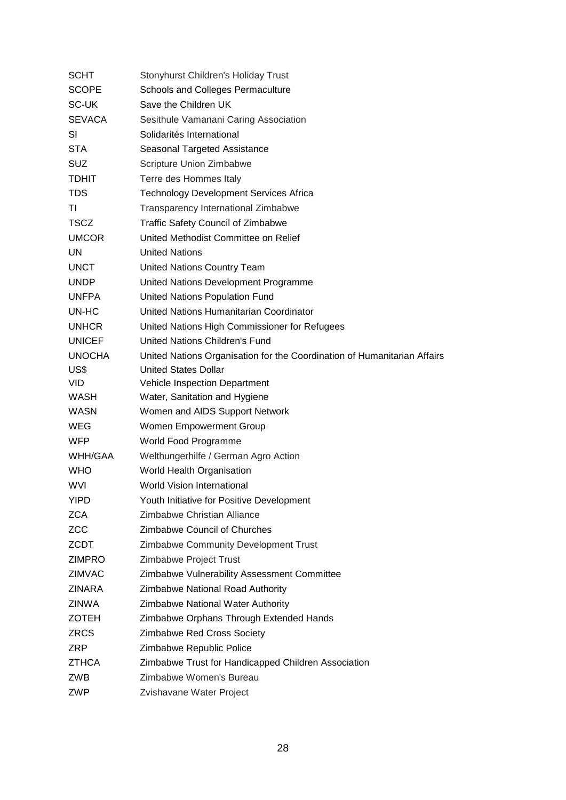| SCHT          | <b>Stonyhurst Children's Holiday Trust</b>                               |
|---------------|--------------------------------------------------------------------------|
| <b>SCOPE</b>  | Schools and Colleges Permaculture                                        |
| <b>SC-UK</b>  | Save the Children UK                                                     |
| <b>SEVACA</b> | Sesithule Vamanani Caring Association                                    |
| SI            | Solidarités International                                                |
| <b>STA</b>    | Seasonal Targeted Assistance                                             |
| <b>SUZ</b>    | Scripture Union Zimbabwe                                                 |
| <b>TDHIT</b>  | Terre des Hommes Italy                                                   |
| <b>TDS</b>    | <b>Technology Development Services Africa</b>                            |
| ΤI            | <b>Transparency International Zimbabwe</b>                               |
| <b>TSCZ</b>   | <b>Traffic Safety Council of Zimbabwe</b>                                |
| <b>UMCOR</b>  | United Methodist Committee on Relief                                     |
| UN            | <b>United Nations</b>                                                    |
| <b>UNCT</b>   | United Nations Country Team                                              |
| <b>UNDP</b>   | United Nations Development Programme                                     |
| <b>UNFPA</b>  | United Nations Population Fund                                           |
| UN-HC         | United Nations Humanitarian Coordinator                                  |
| <b>UNHCR</b>  | United Nations High Commissioner for Refugees                            |
| <b>UNICEF</b> | United Nations Children's Fund                                           |
| <b>UNOCHA</b> | United Nations Organisation for the Coordination of Humanitarian Affairs |
| US\$          | <b>United States Dollar</b>                                              |
| VID.          | Vehicle Inspection Department                                            |
| WASH          | Water, Sanitation and Hygiene                                            |
| <b>WASN</b>   | Women and AIDS Support Network                                           |
| WEG           | Women Empowerment Group                                                  |
| <b>WFP</b>    | World Food Programme                                                     |
| WHH/GAA       | Welthungerhilfe / German Agro Action                                     |
| <b>WHO</b>    | World Health Organisation                                                |
| <b>WVI</b>    | <b>World Vision International</b>                                        |
| YIPD          | Youth Initiative for Positive Development                                |
| <b>ZCA</b>    | Zimbabwe Christian Alliance                                              |
| <b>ZCC</b>    | <b>Zimbabwe Council of Churches</b>                                      |
| <b>ZCDT</b>   | Zimbabwe Community Development Trust                                     |
| <b>ZIMPRO</b> | Zimbabwe Project Trust                                                   |
| <b>ZIMVAC</b> | Zimbabwe Vulnerability Assessment Committee                              |
| <b>ZINARA</b> | Zimbabwe National Road Authority                                         |
| <b>ZINWA</b>  | Zimbabwe National Water Authority                                        |
| <b>ZOTEH</b>  | Zimbabwe Orphans Through Extended Hands                                  |
| <b>ZRCS</b>   | Zimbabwe Red Cross Society                                               |
| <b>ZRP</b>    | Zimbabwe Republic Police                                                 |
| <b>ZTHCA</b>  | Zimbabwe Trust for Handicapped Children Association                      |
| ZWB           | Zimbabwe Women's Bureau                                                  |
| ZWP           | Zvishavane Water Project                                                 |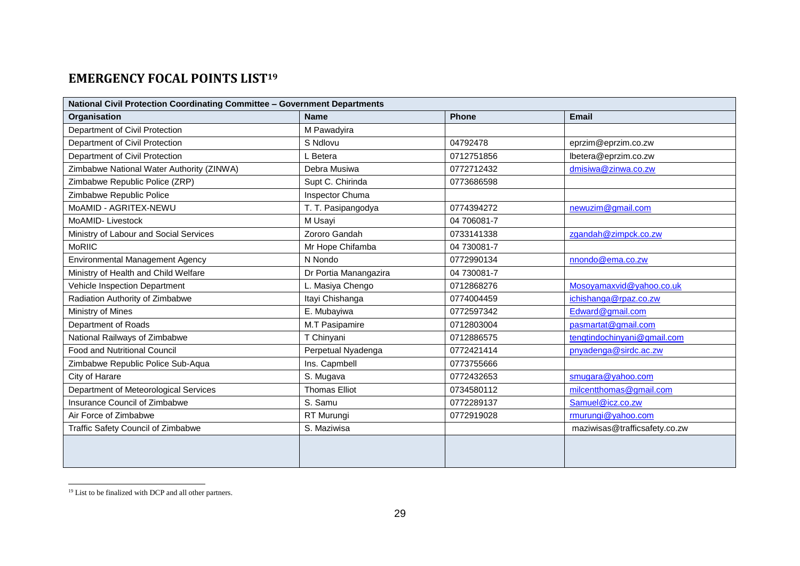# **EMERGENCY FOCAL POINTS LIST<sup>19</sup>**

| National Civil Protection Coordinating Committee - Government Departments |                       |              |                               |  |
|---------------------------------------------------------------------------|-----------------------|--------------|-------------------------------|--|
| Organisation                                                              | <b>Name</b>           | <b>Phone</b> | <b>Email</b>                  |  |
| Department of Civil Protection                                            | M Pawadyira           |              |                               |  |
| Department of Civil Protection                                            | S Ndlovu              | 04792478     | eprzim@eprzim.co.zw           |  |
| Department of Civil Protection                                            | L Betera              | 0712751856   | lbetera@eprzim.co.zw          |  |
| Zimbabwe National Water Authority (ZINWA)                                 | Debra Musiwa          | 0772712432   | dmisiwa@zinwa.co.zw           |  |
| Zimbabwe Republic Police (ZRP)                                            | Supt C. Chirinda      | 0773686598   |                               |  |
| Zimbabwe Republic Police                                                  | Inspector Chuma       |              |                               |  |
| MoAMID - AGRITEX-NEWU                                                     | T. T. Pasipangodya    | 0774394272   | newuzim@gmail.com             |  |
| MoAMID-Livestock                                                          | M Usayi               | 04 706081-7  |                               |  |
| Ministry of Labour and Social Services                                    | Zororo Gandah         | 0733141338   | zgandah@zimpck.co.zw          |  |
| <b>MoRIIC</b>                                                             | Mr Hope Chifamba      | 04 730081-7  |                               |  |
| Environmental Management Agency                                           | N Nondo               | 0772990134   | nnondo@ema.co.zw              |  |
| Ministry of Health and Child Welfare                                      | Dr Portia Manangazira | 04 730081-7  |                               |  |
| Vehicle Inspection Department                                             | L. Masiya Chengo      | 0712868276   | Mosoyamaxvid@yahoo.co.uk      |  |
| Radiation Authority of Zimbabwe                                           | Itayi Chishanga       | 0774004459   | ichishanga@rpaz.co.zw         |  |
| Ministry of Mines                                                         | E. Mubayiwa           | 0772597342   | Edward@gmail.com              |  |
| Department of Roads                                                       | M.T Pasipamire        | 0712803004   | pasmartat@gmail.com           |  |
| National Railways of Zimbabwe                                             | T Chinyani            | 0712886575   | tengtindochinyani@gmail.com   |  |
| Food and Nutritional Council                                              | Perpetual Nyadenga    | 0772421414   | pnyadenga@sirdc.ac.zw         |  |
| Zimbabwe Republic Police Sub-Aqua                                         | Ins. Capmbell         | 0773755666   |                               |  |
| City of Harare                                                            | S. Mugava             | 0772432653   | smugara@yahoo.com             |  |
| Department of Meteorological Services                                     | <b>Thomas Elliot</b>  | 0734580112   | milcentthomas@gmail.com       |  |
| Insurance Council of Zimbabwe                                             | S. Samu               | 0772289137   | Samuel@icz.co.zw              |  |
| Air Force of Zimbabwe                                                     | RT Murungi            | 0772919028   | rmurungi@yahoo.com            |  |
| Traffic Safety Council of Zimbabwe                                        | S. Maziwisa           |              | maziwisas@trafficsafety.co.zw |  |
|                                                                           |                       |              |                               |  |

<sup>&</sup>lt;sup>19</sup> List to be finalized with DCP and all other partners.

<span id="page-28-0"></span>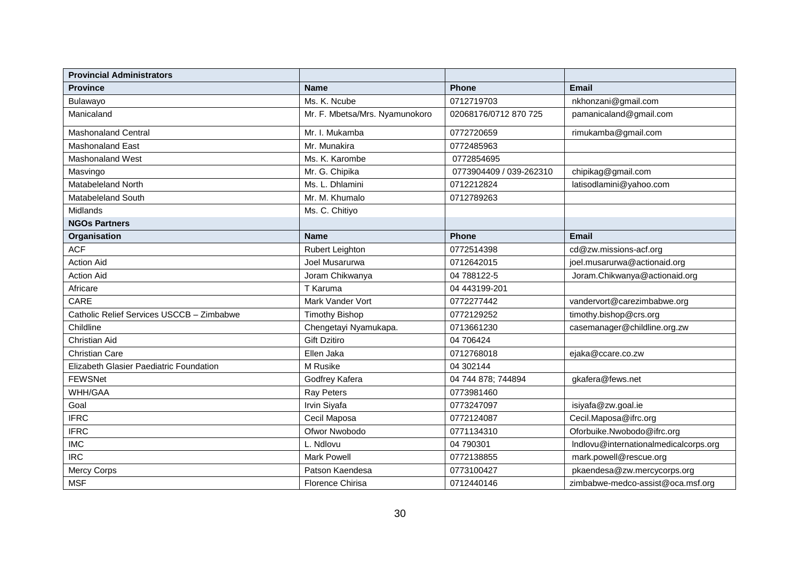| <b>Provincial Administrators</b>          |                                |                         |                                       |
|-------------------------------------------|--------------------------------|-------------------------|---------------------------------------|
| <b>Province</b>                           | <b>Name</b>                    | <b>Phone</b>            | <b>Email</b>                          |
| Bulawayo                                  | Ms. K. Ncube                   | 0712719703              | nkhonzani@gmail.com                   |
| Manicaland                                | Mr. F. Mbetsa/Mrs. Nyamunokoro | 02068176/0712 870 725   | pamanicaland@gmail.com                |
| <b>Mashonaland Central</b>                | Mr. I. Mukamba                 | 0772720659              | rimukamba@gmail.com                   |
| <b>Mashonaland East</b>                   | Mr. Munakira                   | 0772485963              |                                       |
| Mashonaland West                          | Ms. K. Karombe                 | 0772854695              |                                       |
| Masvingo                                  | Mr. G. Chipika                 | 0773904409 / 039-262310 | chipikag@gmail.com                    |
| Matabeleland North                        | Ms. L. Dhlamini                | 0712212824              | latisodlamini@yahoo.com               |
| Matabeleland South                        | Mr. M. Khumalo                 | 0712789263              |                                       |
| Midlands                                  | Ms. C. Chitiyo                 |                         |                                       |
| <b>NGOs Partners</b>                      |                                |                         |                                       |
| Organisation                              | <b>Name</b>                    | <b>Phone</b>            | <b>Email</b>                          |
| <b>ACF</b>                                | Rubert Leighton                | 0772514398              | cd@zw.missions-acf.org                |
| <b>Action Aid</b>                         | Joel Musarurwa                 | 0712642015              | joel.musarurwa@actionaid.org          |
| <b>Action Aid</b>                         | Joram Chikwanya                | 04 788122-5             | Joram.Chikwanya@actionaid.org         |
| Africare                                  | T Karuma                       | 04 443199-201           |                                       |
| CARE                                      | Mark Vander Vort               | 0772277442              | vandervort@carezimbabwe.org           |
| Catholic Relief Services USCCB - Zimbabwe | <b>Timothy Bishop</b>          | 0772129252              | timothy.bishop@crs.org                |
| Childline                                 | Chengetayi Nyamukapa.          | 0713661230              | casemanager@childline.org.zw          |
| <b>Christian Aid</b>                      | <b>Gift Dzitiro</b>            | 04 706424               |                                       |
| <b>Christian Care</b>                     | Ellen Jaka                     | 0712768018              | ejaka@ccare.co.zw                     |
| Elizabeth Glasier Paediatric Foundation   | M Rusike                       | 04 302144               |                                       |
| <b>FEWSNet</b>                            | Godfrey Kafera                 | 04 744 878; 744894      | gkafera@fews.net                      |
| WHH/GAA                                   | Ray Peters                     | 0773981460              |                                       |
| Goal                                      | Irvin Siyafa                   | 0773247097              | isiyafa@zw.goal.ie                    |
| <b>IFRC</b>                               | Cecil Maposa                   | 0772124087              | Cecil.Maposa@ifrc.org                 |
| <b>IFRC</b>                               | Ofwor Nwobodo                  | 0771134310              | Oforbuike.Nwobodo@ifrc.org            |
| <b>IMC</b>                                | L. Ndlovu                      | 04 790301               | Indlovu@internationalmedicalcorps.org |
| <b>IRC</b>                                | Mark Powell                    | 0772138855              | mark.powell@rescue.org                |
| Mercy Corps                               | Patson Kaendesa                | 0773100427              | pkaendesa@zw.mercycorps.org           |
| <b>MSF</b>                                | Florence Chirisa               | 0712440146              | zimbabwe-medco-assist@oca.msf.org     |